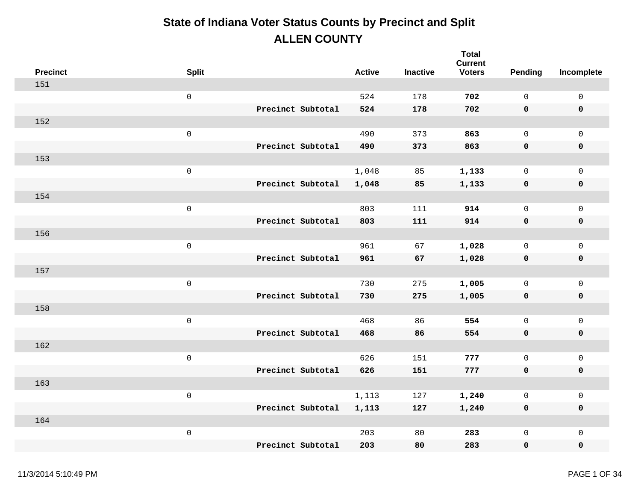| <b>Precinct</b> | <b>Split</b>        |                   | <b>Active</b> | <b>Inactive</b> | <b>Total</b><br><b>Current</b><br><b>Voters</b> | Pending      | Incomplete          |
|-----------------|---------------------|-------------------|---------------|-----------------|-------------------------------------------------|--------------|---------------------|
| 151             |                     |                   |               |                 |                                                 |              |                     |
|                 | $\mathsf{O}\xspace$ |                   | 524           | 178             | 702                                             | $\mathbf 0$  | $\mathsf{O}\xspace$ |
|                 |                     | Precinct Subtotal | 524           | 178             | 702                                             | 0            | $\pmb{0}$           |
| 152             |                     |                   |               |                 |                                                 |              |                     |
|                 | $\mathsf{O}\xspace$ |                   | 490           | 373             | 863                                             | $\mathsf{O}$ | $\mathbf 0$         |
|                 |                     | Precinct Subtotal | 490           | 373             | 863                                             | 0            | $\pmb{0}$           |
| 153             |                     |                   |               |                 |                                                 |              |                     |
|                 | $\mathbf 0$         |                   | 1,048         | 85              | 1,133                                           | 0            | $\mathsf{O}$        |
|                 |                     | Precinct Subtotal | 1,048         | 85              | 1,133                                           | 0            | $\pmb{0}$           |
| 154             |                     |                   |               |                 |                                                 |              |                     |
|                 | $\mathsf{O}\xspace$ |                   | 803           | 111             | 914                                             | $\mathsf{O}$ | $\mathbf 0$         |
|                 |                     | Precinct Subtotal | 803           | 111             | 914                                             | 0            | $\pmb{0}$           |
| 156             |                     |                   |               |                 |                                                 |              |                     |
|                 | $\mathsf 0$         |                   | 961           | 67              | 1,028                                           | $\mathsf{O}$ | $\mathsf{O}$        |
|                 |                     | Precinct Subtotal | 961           | 67              | 1,028                                           | 0            | $\pmb{0}$           |
| 157             |                     |                   |               |                 |                                                 |              |                     |
|                 | $\mathsf{O}\xspace$ |                   | 730           | 275             | 1,005                                           | $\mathsf{O}$ | $\mathsf{O}$        |
|                 |                     | Precinct Subtotal | 730           | 275             | 1,005                                           | 0            | $\pmb{0}$           |
| 158             |                     |                   |               |                 |                                                 |              |                     |
|                 | $\mathsf{O}\xspace$ |                   | 468           | 86              | 554                                             | $\mathsf{O}$ | $\mathsf{O}$        |
|                 |                     | Precinct Subtotal | 468           | 86              | 554                                             | 0            | $\mathbf 0$         |
| 162             |                     |                   |               |                 |                                                 |              |                     |
|                 | $\mathsf{O}\xspace$ |                   | 626           | 151             | 777                                             | $\mathsf{O}$ | $\mathsf{O}\xspace$ |
|                 |                     | Precinct Subtotal | 626           | 151             | 777                                             | $\mathbf 0$  | $\pmb{0}$           |
| 163             |                     |                   |               |                 |                                                 |              |                     |
|                 | $\mathsf{O}\xspace$ |                   | 1,113         | 127             | 1,240                                           | $\mathsf{O}$ | $\mathsf{O}\xspace$ |
|                 |                     | Precinct Subtotal | 1,113         | 127             | 1,240                                           | 0            | $\mathbf 0$         |
| 164             |                     |                   |               |                 |                                                 |              |                     |
|                 | $\,0\,$             |                   | 203           | 80              | 283                                             | $\mathsf{O}$ | $\mathsf{O}\xspace$ |
|                 |                     | Precinct Subtotal | 203           | 80              | 283                                             | 0            | $\mathbf 0$         |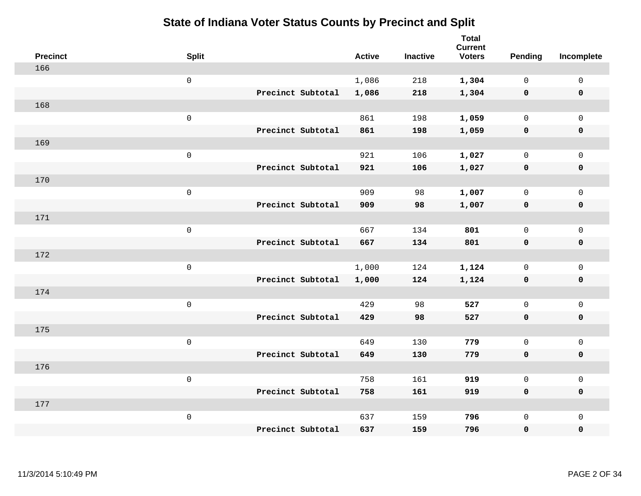|     | <b>Precinct</b> | <b>Split</b>        |                   | <b>Active</b> | <b>Inactive</b> | <b>Total</b><br><b>Current</b><br><b>Voters</b> | Pending      | Incomplete          |
|-----|-----------------|---------------------|-------------------|---------------|-----------------|-------------------------------------------------|--------------|---------------------|
| 166 |                 |                     |                   |               |                 |                                                 |              |                     |
|     |                 | $\mathsf{O}$        |                   | 1,086         | 218             | 1,304                                           | $\mathbf 0$  | $\mathsf{O}\xspace$ |
|     |                 |                     | Precinct Subtotal | 1,086         | 218             | 1,304                                           | $\mathbf 0$  | $\pmb{0}$           |
| 168 |                 |                     |                   |               |                 |                                                 |              |                     |
|     |                 | $\mathsf{O}\xspace$ |                   | 861           | 198             | 1,059                                           | $\mathbf 0$  | $\mathsf{O}\xspace$ |
|     |                 |                     | Precinct Subtotal | 861           | 198             | 1,059                                           | $\mathbf 0$  | $\pmb{0}$           |
| 169 |                 |                     |                   |               |                 |                                                 |              |                     |
|     |                 | $\mathbf 0$         |                   | 921           | 106             | 1,027                                           | $\mathbf 0$  | $\mathsf{O}\xspace$ |
|     |                 |                     | Precinct Subtotal | 921           | 106             | 1,027                                           | $\mathbf 0$  | 0                   |
| 170 |                 |                     |                   |               |                 |                                                 |              |                     |
|     |                 | $\,0\,$             |                   | 909           | 98              | 1,007                                           | $\mathbf 0$  | $\mathsf{O}\xspace$ |
|     |                 |                     | Precinct Subtotal | 909           | 98              | 1,007                                           | $\mathbf 0$  | 0                   |
| 171 |                 |                     |                   |               |                 |                                                 |              |                     |
|     |                 | $\mathbf 0$         |                   | 667           | 134             | 801                                             | $\mathbf 0$  | $\mathsf{O}\xspace$ |
|     |                 |                     | Precinct Subtotal | 667           | 134             | 801                                             | 0            | 0                   |
| 172 |                 |                     |                   |               |                 |                                                 |              |                     |
|     |                 | $\mathsf{O}\xspace$ |                   | 1,000         | 124             | 1,124                                           | $\mathbf 0$  | $\mathsf{O}\xspace$ |
|     |                 |                     | Precinct Subtotal | 1,000         | 124             | 1,124                                           | $\mathbf 0$  | 0                   |
| 174 |                 |                     |                   |               |                 |                                                 |              |                     |
|     |                 | $\mathbf 0$         |                   | 429           | 98              | 527                                             | $\mathbf 0$  | $\mathsf{O}$        |
|     |                 |                     | Precinct Subtotal | 429           | 98              | 527                                             | 0            | 0                   |
| 175 |                 |                     |                   |               |                 |                                                 |              |                     |
|     |                 | $\mathsf{O}\xspace$ |                   | 649           | 130             | 779                                             | $\mathbf 0$  | $\mathsf{O}\xspace$ |
|     |                 |                     | Precinct Subtotal | 649           | 130             | 779                                             | 0            | 0                   |
| 176 |                 |                     |                   |               |                 |                                                 |              |                     |
|     |                 | $\mathbf 0$         |                   | 758           | 161             | 919                                             | $\mathbf 0$  | $\mathsf{O}\xspace$ |
|     |                 |                     | Precinct Subtotal | 758           | 161             | 919                                             | 0            | 0                   |
| 177 |                 |                     |                   |               |                 |                                                 |              |                     |
|     |                 | $\mathbf 0$         |                   | 637           | 159             | 796                                             | $\mathsf{O}$ | $\mathsf{O}$        |
|     |                 |                     | Precinct Subtotal | 637           | 159             | 796                                             | 0            | 0                   |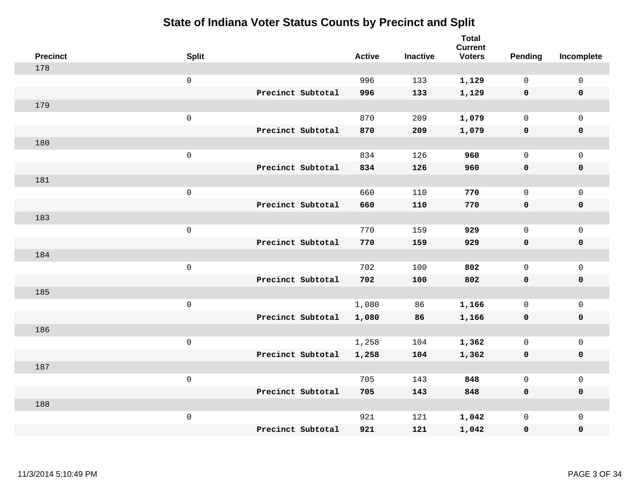| <b>Precinct</b> | <b>Split</b>        |                   | <b>Active</b> | <b>Inactive</b> | <b>Total</b><br><b>Current</b><br><b>Voters</b> | <b>Pending</b> | Incomplete          |
|-----------------|---------------------|-------------------|---------------|-----------------|-------------------------------------------------|----------------|---------------------|
| 178             |                     |                   |               |                 |                                                 |                |                     |
|                 | $\mathsf{O}$        |                   | 996           | 133             | 1,129                                           | $\mathbf{0}$   | 0                   |
|                 |                     | Precinct Subtotal | 996           | 133             | 1,129                                           | $\mathbf 0$    | $\mathbf 0$         |
| 179             |                     |                   |               |                 |                                                 |                |                     |
|                 | $\mathsf 0$         |                   | 870           | 209             | 1,079                                           | $\mathsf{O}$   | $\mathsf{O}$        |
|                 |                     | Precinct Subtotal | 870           | 209             | 1,079                                           | $\mathbf 0$    | $\pmb{0}$           |
| 180             |                     |                   |               |                 |                                                 |                |                     |
|                 | $\mathsf 0$         |                   | 834           | 126             | 960                                             | $\mathbf{0}$   | $\mathsf{O}$        |
|                 |                     | Precinct Subtotal | 834           | 126             | 960                                             | 0              | $\mathbf 0$         |
| 181             |                     |                   |               |                 |                                                 |                |                     |
|                 | $\mathsf{O}\xspace$ |                   | 660           | 110             | 770                                             | $\mathbf{0}$   | $\mathbf 0$         |
|                 |                     | Precinct Subtotal | 660           | 110             | 770                                             | $\mathbf 0$    | $\pmb{0}$           |
| 183             |                     |                   |               |                 |                                                 |                |                     |
|                 | $\mathsf{O}\xspace$ |                   | 770           | 159             | 929                                             | $\mathbf{0}$   | $\mathbf 0$         |
|                 |                     | Precinct Subtotal | 770           | 159             | 929                                             | 0              | $\mathbf 0$         |
| 184             |                     |                   |               |                 |                                                 |                |                     |
|                 | $\mathsf 0$         |                   | 702           | 100             | 802                                             | 0              | $\mathsf{O}$        |
|                 |                     | Precinct Subtotal | 702           | 100             | 802                                             | 0              | $\pmb{0}$           |
| 185             |                     |                   |               |                 |                                                 |                |                     |
|                 | $\mathsf 0$         |                   | 1,080         | 86              | 1,166                                           | $\mathsf{O}$   | $\mathsf{O}\xspace$ |
|                 |                     | Precinct Subtotal | 1,080         | 86              | 1,166                                           | 0              | $\mathbf 0$         |
| 186             |                     |                   |               |                 |                                                 |                |                     |
|                 | $\mathsf{O}\xspace$ |                   | 1,258         | 104             | 1,362                                           | 0              | $\mathsf{O}\xspace$ |
|                 |                     | Precinct Subtotal | 1,258         | 104             | 1,362                                           | $\mathbf 0$    | $\mathbf 0$         |
| 187             |                     |                   |               |                 |                                                 |                |                     |
|                 | $\mathsf 0$         |                   | 705           | 143             | 848                                             | $\mathbf{0}$   | $\mathsf 0$         |
|                 |                     | Precinct Subtotal | 705           | 143             | 848                                             | 0              | $\mathbf 0$         |
| 188             |                     |                   |               |                 |                                                 |                |                     |
|                 | $\mathsf 0$         |                   | 921           | 121             | 1,042                                           | 0              | $\mathsf{O}$        |
|                 |                     | Precinct Subtotal | 921           | 121             | 1,042                                           | 0              | $\mathbf 0$         |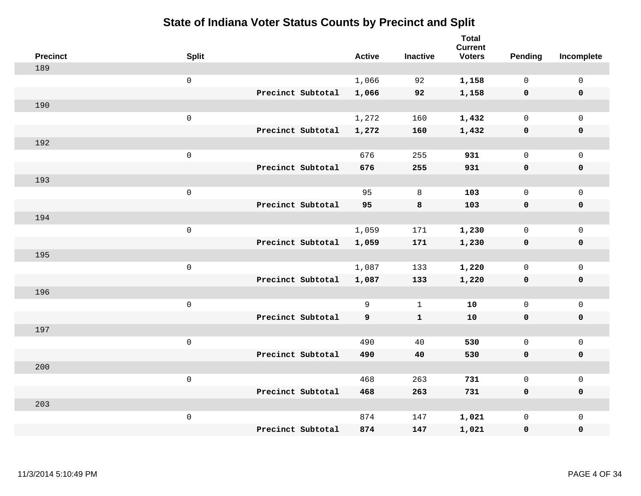| <b>Precinct</b> | <b>Split</b>        |                   | <b>Active</b> | <b>Inactive</b> | <b>Total</b><br><b>Current</b><br><b>Voters</b> | Pending      | Incomplete          |
|-----------------|---------------------|-------------------|---------------|-----------------|-------------------------------------------------|--------------|---------------------|
| 189             |                     |                   |               |                 |                                                 |              |                     |
|                 | $\mathsf{O}$        |                   | 1,066         | 92              | 1,158                                           | $\mathbf 0$  | $\mathsf{O}\xspace$ |
|                 |                     | Precinct Subtotal | 1,066         | 92              | 1,158                                           | $\mathbf 0$  | $\pmb{0}$           |
| 190             |                     |                   |               |                 |                                                 |              |                     |
|                 | $\mathsf{O}\xspace$ |                   | 1,272         | 160             | 1,432                                           | $\mathbf 0$  | $\mathsf{O}\xspace$ |
|                 |                     | Precinct Subtotal | 1,272         | 160             | 1,432                                           | $\mathbf 0$  | $\pmb{0}$           |
| 192             |                     |                   |               |                 |                                                 |              |                     |
|                 | $\mathbf 0$         |                   | 676           | 255             | 931                                             | $\mathsf{O}$ | $\mathsf{O}\xspace$ |
|                 |                     | Precinct Subtotal | 676           | 255             | 931                                             | 0            | 0                   |
| 193             |                     |                   |               |                 |                                                 |              |                     |
|                 | $\mathbf 0$         |                   | 95            | 8               | 103                                             | $\mathbf 0$  | $\mathsf{O}\xspace$ |
|                 |                     | Precinct Subtotal | 95            | 8               | 103                                             | $\mathbf 0$  | 0                   |
| 194             |                     |                   |               |                 |                                                 |              |                     |
|                 | $\mathbf 0$         |                   | 1,059         | 171             | 1,230                                           | $\mathbf 0$  | $\mathsf{O}\xspace$ |
|                 |                     | Precinct Subtotal | 1,059         | 171             | 1,230                                           | 0            | 0                   |
| 195             |                     |                   |               |                 |                                                 |              |                     |
|                 | $\mathsf{O}\xspace$ |                   | 1,087         | 133             | 1,220                                           | $\mathbf 0$  | $\mathsf{O}\xspace$ |
|                 |                     | Precinct Subtotal | 1,087         | 133             | 1,220                                           | 0            | 0                   |
| 196             |                     |                   |               |                 |                                                 |              |                     |
|                 | $\mathbf 0$         |                   | 9             | $\mathbf 1$     | 10                                              | $\mathbf 0$  | $\mathsf{O}$        |
|                 |                     | Precinct Subtotal | 9             | $\mathbf{1}$    | 10                                              | 0            | 0                   |
| 197             |                     |                   |               |                 |                                                 |              |                     |
|                 | $\mathsf{O}\xspace$ |                   | 490           | 40              | 530                                             | $\mathbf 0$  | $\mathsf{O}\xspace$ |
|                 |                     | Precinct Subtotal | 490           | 40              | 530                                             | 0            | 0                   |
| 200             |                     |                   |               |                 |                                                 |              |                     |
|                 | $\mathsf 0$         |                   | 468           | 263             | 731                                             | $\mathsf{O}$ | $\mathsf{O}\xspace$ |
|                 |                     | Precinct Subtotal | 468           | 263             | 731                                             | 0            | 0                   |
| 203             |                     |                   |               |                 |                                                 |              |                     |
|                 | $\mathbf 0$         |                   | 874           | 147             | 1,021                                           | $\mathsf{O}$ | $\mathsf{O}$        |
|                 |                     | Precinct Subtotal | 874           | 147             | 1,021                                           | 0            | $\pmb{0}$           |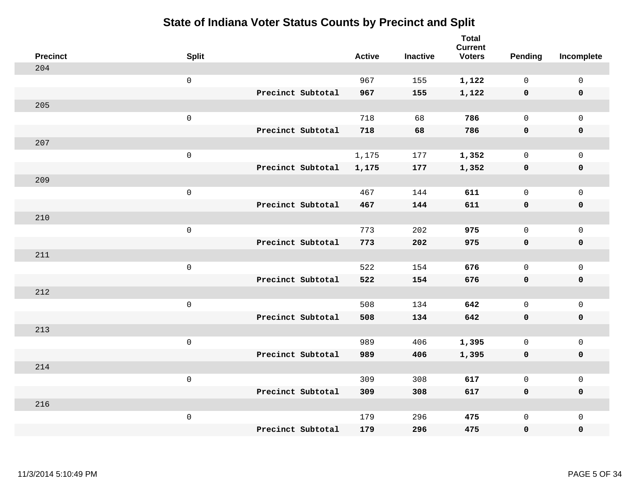| <b>Precinct</b> | <b>Split</b>        | <b>Active</b> | <b>Inactive</b> | <b>Total</b><br><b>Current</b><br><b>Voters</b> | Pending      | Incomplete          |
|-----------------|---------------------|---------------|-----------------|-------------------------------------------------|--------------|---------------------|
| 204             |                     |               |                 |                                                 |              |                     |
|                 | $\mathsf{O}\xspace$ | 967           | 155             | 1,122                                           | $\mathbf 0$  | $\mathsf{O}\xspace$ |
|                 | Precinct Subtotal   | 967           | 155             | 1,122                                           | $\mathbf 0$  | $\pmb{0}$           |
| 205             |                     |               |                 |                                                 |              |                     |
|                 | $\mathsf{O}\xspace$ | 718           | 68              | 786                                             | $\mathbf 0$  | $\mathbf{0}$        |
|                 | Precinct Subtotal   | 718           | 68              | 786                                             | $\mathbf 0$  | $\pmb{0}$           |
| 207             |                     |               |                 |                                                 |              |                     |
|                 | $\mathsf{O}\xspace$ | 1,175         | 177             | 1,352                                           | 0            | $\mathsf{O}$        |
|                 | Precinct Subtotal   | 1,175         | 177             | 1,352                                           | $\mathbf 0$  | 0                   |
| 209             |                     |               |                 |                                                 |              |                     |
|                 | $\mathsf{O}\xspace$ | 467           | 144             | 611                                             | $\mathbf 0$  | $\mathsf{O}$        |
|                 | Precinct Subtotal   | 467           | 144             | 611                                             | $\mathbf 0$  | 0                   |
| 210             |                     |               |                 |                                                 |              |                     |
|                 | $\mathsf{O}\xspace$ | 773           | 202             | 975                                             | $\mathbf 0$  | $\mathsf{O}\xspace$ |
|                 | Precinct Subtotal   | 773           | 202             | 975                                             | 0            | 0                   |
| 211             |                     |               |                 |                                                 |              |                     |
|                 | $\mathsf{O}\xspace$ | 522           | 154             | 676                                             | $\mathbf 0$  | $\mathsf{O}\xspace$ |
|                 | Precinct Subtotal   | 522           | 154             | 676                                             | $\mathbf 0$  | 0                   |
| 212             |                     |               |                 |                                                 |              |                     |
|                 | $\mathsf{O}\xspace$ | 508           | 134             | 642                                             | $\mathbf 0$  | $\mathsf{O}$        |
|                 | Precinct Subtotal   | 508           | 134             | 642                                             | 0            | 0                   |
| 213             |                     |               |                 |                                                 |              |                     |
|                 | $\mathsf{O}\xspace$ | 989           | 406             | 1,395                                           | $\mathsf{O}$ | $\mathsf{O}$        |
|                 | Precinct Subtotal   | 989           | 406             | 1,395                                           | 0            | 0                   |
| 214             |                     |               |                 |                                                 |              |                     |
|                 | $\mathsf{O}\xspace$ | 309           | 308             | 617                                             | $\mathsf{O}$ | $\mathsf{O}$        |
|                 | Precinct Subtotal   | 309           | 308             | 617                                             | $\mathbf 0$  | 0                   |
| 216             |                     |               |                 |                                                 |              |                     |
|                 | $\mathsf{O}\xspace$ | 179           | 296             | 475                                             | $\mathsf{O}$ | $\mathsf{O}$        |
|                 | Precinct Subtotal   | 179           | 296             | 475                                             | 0            | 0                   |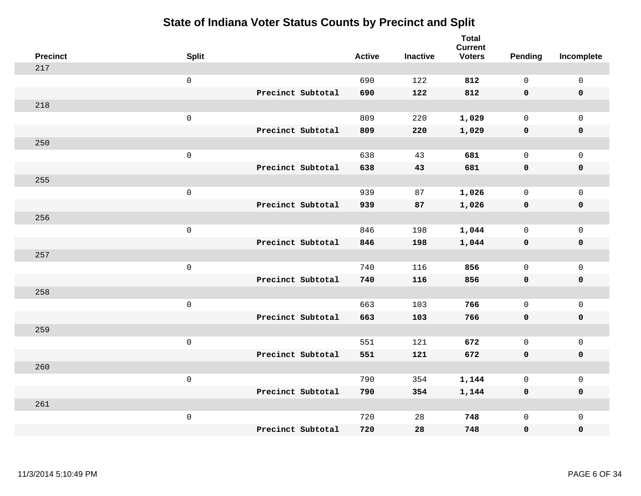| <b>Precinct</b> | <b>Split</b>        |                   | <b>Active</b> | <b>Inactive</b> | <b>Total</b><br><b>Current</b><br><b>Voters</b> | <b>Pending</b> | Incomplete          |
|-----------------|---------------------|-------------------|---------------|-----------------|-------------------------------------------------|----------------|---------------------|
| 217             |                     |                   |               |                 |                                                 |                |                     |
|                 | $\mathsf{O}\xspace$ |                   | 690           | 122             | 812                                             | $\mathbf 0$    | $\mathsf{O}\xspace$ |
|                 |                     | Precinct Subtotal | 690           | 122             | 812                                             | $\mathbf 0$    | $\mathbf 0$         |
| 218             |                     |                   |               |                 |                                                 |                |                     |
|                 | $\mathsf{O}\xspace$ |                   | 809           | 220             | 1,029                                           | $\mathbf 0$    | $\mathsf{O}$        |
|                 |                     | Precinct Subtotal | 809           | 220             | 1,029                                           | $\mathbf 0$    | 0                   |
| 250             |                     |                   |               |                 |                                                 |                |                     |
|                 | $\mathsf{O}\xspace$ |                   | 638           | 43              | 681                                             | $\mathbf 0$    | $\mathsf{O}\xspace$ |
|                 |                     | Precinct Subtotal | 638           | 43              | 681                                             | $\mathbf 0$    | $\pmb{0}$           |
| 255             |                     |                   |               |                 |                                                 |                |                     |
|                 | $\mathsf{O}\xspace$ |                   | 939           | 87              | 1,026                                           | $\mathbf 0$    | $\mathsf{O}$        |
|                 |                     | Precinct Subtotal | 939           | 87              | 1,026                                           | $\mathbf 0$    | 0                   |
| 256             |                     |                   |               |                 |                                                 |                |                     |
|                 | $\mathsf{O}\xspace$ |                   | 846           | 198             | 1,044                                           | $\mathbf 0$    | $\mathsf{O}\xspace$ |
|                 |                     | Precinct Subtotal | 846           | 198             | 1,044                                           | 0              | 0                   |
| 257             |                     |                   |               |                 |                                                 |                |                     |
|                 | $\mathsf 0$         |                   | 740           | 116             | 856                                             | $\mathbf 0$    | $\mathsf{O}\xspace$ |
|                 |                     | Precinct Subtotal | 740           | 116             | 856                                             | 0              | 0                   |
| 258             |                     |                   |               |                 |                                                 |                |                     |
|                 | $\mathsf{O}\xspace$ |                   | 663           | 103             | 766                                             | $\mathsf{O}$   | $\mathsf{O}$        |
|                 |                     | Precinct Subtotal | 663           | 103             | 766                                             | 0              | 0                   |
| 259             |                     |                   |               |                 |                                                 |                |                     |
|                 | $\mathsf{O}\xspace$ |                   | 551           | 121             | 672                                             | $\mathsf{O}$   | $\mathsf{O}$        |
|                 |                     | Precinct Subtotal | 551           | 121             | 672                                             | $\mathbf 0$    | 0                   |
| 260             |                     |                   |               |                 |                                                 |                |                     |
|                 | $\mathsf 0$         |                   | 790           | 354             | 1,144                                           | 0              | $\mathsf{O}$        |
|                 |                     | Precinct Subtotal | 790           | 354             | 1,144                                           | 0              | 0                   |
| 261             |                     |                   |               |                 |                                                 |                |                     |
|                 | $\mathsf{O}\xspace$ |                   | 720           | 28              | 748                                             | $\mathsf{O}$   | $\mathsf{O}$        |
|                 |                     | Precinct Subtotal | 720           | 28              | 748                                             | 0              | 0                   |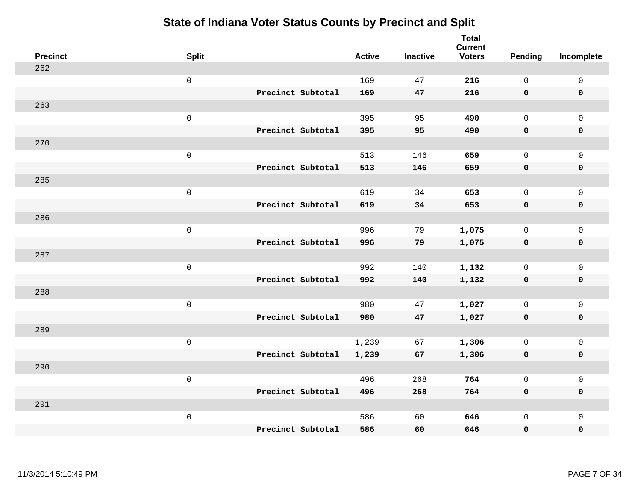| <b>Precinct</b> | <b>Split</b>        |                   | <b>Active</b> | <b>Inactive</b> | <b>Total</b><br><b>Current</b><br><b>Voters</b> | <b>Pending</b> | Incomplete          |
|-----------------|---------------------|-------------------|---------------|-----------------|-------------------------------------------------|----------------|---------------------|
| 262             |                     |                   |               |                 |                                                 |                |                     |
|                 | $\mathsf{O}\xspace$ |                   | 169           | 47              | 216                                             | $\mathbf 0$    | $\mathsf{O}\xspace$ |
|                 |                     | Precinct Subtotal | 169           | 47              | 216                                             | $\mathbf 0$    | $\mathbf 0$         |
| 263             |                     |                   |               |                 |                                                 |                |                     |
|                 | $\mathsf{O}\xspace$ |                   | 395           | 95              | 490                                             | $\mathbf 0$    | $\mathsf{O}$        |
|                 |                     | Precinct Subtotal | 395           | 95              | 490                                             | $\mathbf 0$    | 0                   |
| 270             |                     |                   |               |                 |                                                 |                |                     |
|                 | $\mathsf{O}\xspace$ |                   | 513           | 146             | 659                                             | $\mathbf 0$    | $\mathsf{O}\xspace$ |
|                 |                     | Precinct Subtotal | 513           | 146             | 659                                             | $\mathbf 0$    | $\pmb{0}$           |
| 285             |                     |                   |               |                 |                                                 |                |                     |
|                 | $\mathsf{O}\xspace$ |                   | 619           | 34              | 653                                             | $\mathsf{O}$   | $\mathsf{O}$        |
|                 |                     | Precinct Subtotal | 619           | 34              | 653                                             | 0              | 0                   |
| 286             |                     |                   |               |                 |                                                 |                |                     |
|                 | $\mathsf{O}\xspace$ |                   | 996           | 79              | 1,075                                           | $\mathsf{O}$   | $\mathsf{O}\xspace$ |
|                 |                     | Precinct Subtotal | 996           | 79              | 1,075                                           | 0              | 0                   |
| 287             |                     |                   |               |                 |                                                 |                |                     |
|                 | $\mathsf 0$         |                   | 992           | 140             | 1,132                                           | $\mathbf 0$    | $\mathsf{O}\xspace$ |
|                 |                     | Precinct Subtotal | 992           | 140             | 1,132                                           | $\mathbf 0$    | 0                   |
| 288             |                     |                   |               |                 |                                                 |                |                     |
|                 | $\mathsf{O}\xspace$ |                   | 980           | 47              | 1,027                                           | $\mathsf{O}$   | $\mathsf{O}$        |
|                 |                     | Precinct Subtotal | 980           | 47              | 1,027                                           | 0              | 0                   |
| 289             |                     |                   |               |                 |                                                 |                |                     |
|                 | $\mathsf{O}\xspace$ |                   | 1,239         | 67              | 1,306                                           | $\mathsf{O}$   | $\mathsf{O}$        |
|                 |                     | Precinct Subtotal | 1,239         | 67              | 1,306                                           | 0              | 0                   |
| 290             |                     |                   |               |                 |                                                 |                |                     |
|                 | $\mathsf 0$         |                   | 496           | 268             | 764                                             | $\mathbf 0$    | $\mathsf{O}$        |
|                 |                     | Precinct Subtotal | 496           | 268             | 764                                             | 0              | 0                   |
| 291             |                     |                   |               |                 |                                                 |                |                     |
|                 | $\mathsf 0$         |                   | 586           | 60              | 646                                             | $\mathsf{O}$   | $\mathsf{O}$        |
|                 |                     | Precinct Subtotal | 586           | 60              | 646                                             | 0              | 0                   |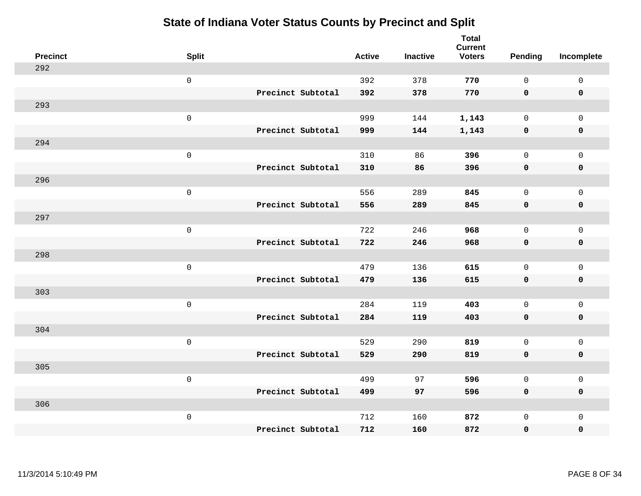| <b>Precinct</b> | <b>Split</b>        |                   | <b>Active</b> | <b>Inactive</b> | <b>Total</b><br><b>Current</b><br><b>Voters</b> | Pending      | Incomplete   |
|-----------------|---------------------|-------------------|---------------|-----------------|-------------------------------------------------|--------------|--------------|
| 292             |                     |                   |               |                 |                                                 |              |              |
|                 | $\mathsf 0$         |                   | 392           | 378             | 770                                             | $\mathsf{O}$ | $\mathbf 0$  |
|                 |                     | Precinct Subtotal | 392           | 378             | 770                                             | $\mathbf 0$  | $\mathbf 0$  |
| 293             |                     |                   |               |                 |                                                 |              |              |
|                 | $\mathsf{O}\xspace$ |                   | 999           | 144             | 1,143                                           | $\mathbf{0}$ | $\mathbf 0$  |
|                 |                     | Precinct Subtotal | 999           | 144             | 1,143                                           | $\mathbf 0$  | $\pmb{0}$    |
| 294             |                     |                   |               |                 |                                                 |              |              |
|                 | $\mathsf{O}\xspace$ |                   | 310           | 86              | 396                                             | $\mathbf{0}$ | $\mathbf{0}$ |
|                 |                     | Precinct Subtotal | 310           | 86              | 396                                             | $\mathbf 0$  | $\pmb{0}$    |
| 296             |                     |                   |               |                 |                                                 |              |              |
|                 | $\mathsf 0$         |                   | 556           | 289             | 845                                             | 0            | $\mathsf{O}$ |
|                 |                     | Precinct Subtotal | 556           | 289             | 845                                             | $\mathbf 0$  | $\pmb{0}$    |
| 297             |                     |                   |               |                 |                                                 |              |              |
|                 | $\mathsf 0$         |                   | 722           | 246             | 968                                             | $\mathbf{0}$ | $\mathbf 0$  |
|                 |                     | Precinct Subtotal | 722           | 246             | 968                                             | 0            | $\mathbf 0$  |
| 298             |                     |                   |               |                 |                                                 |              |              |
|                 | $\mathsf{O}\xspace$ |                   | 479           | 136             | 615                                             | $\mathbf 0$  | $\mathbf 0$  |
|                 |                     | Precinct Subtotal | 479           | 136             | 615                                             | $\mathbf 0$  | $\mathbf 0$  |
| 303             |                     |                   |               |                 |                                                 |              |              |
|                 | $\mathsf 0$         |                   | 284           | 119             | 403                                             | 0            | $\mathbf 0$  |
|                 |                     | Precinct Subtotal | 284           | 119             | 403                                             | 0            | $\mathbf 0$  |
| 304             |                     |                   |               |                 |                                                 |              |              |
|                 | $\mathsf{O}\xspace$ |                   | 529           | 290             | 819                                             | 0            | $\mathsf{O}$ |
|                 |                     | Precinct Subtotal | 529           | 290             | 819                                             | 0            | $\mathbf 0$  |
| 305             |                     |                   |               |                 |                                                 |              |              |
|                 | $\mathsf 0$         |                   | 499           | 97              | 596                                             | $\mathbf{0}$ | $\mathsf{O}$ |
|                 |                     | Precinct Subtotal | 499           | 97              | 596                                             | 0            | $\mathbf 0$  |
| 306             |                     |                   |               |                 |                                                 |              |              |
|                 | $\mathbf 0$         |                   | 712           | 160             | 872                                             | 0            | $\mathbf 0$  |
|                 |                     | Precinct Subtotal | 712           | 160             | 872                                             | 0            | $\mathbf 0$  |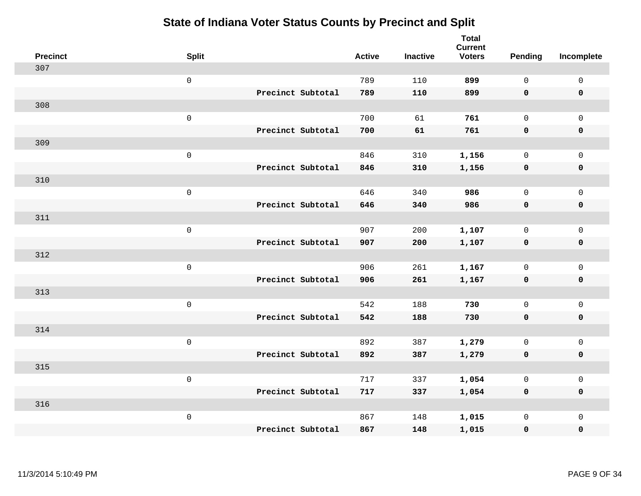| <b>Precinct</b> | <b>Split</b>        | <b>Active</b> | <b>Inactive</b> | <b>Total</b><br><b>Current</b><br><b>Voters</b> | Pending      | Incomplete          |
|-----------------|---------------------|---------------|-----------------|-------------------------------------------------|--------------|---------------------|
| 307             |                     |               |                 |                                                 |              |                     |
|                 | $\mathsf{O}\xspace$ | 789           | 110             | 899                                             | $\mathsf{O}$ | $\mathsf 0$         |
|                 | Precinct Subtotal   | 789           | 110             | 899                                             | $\mathbf 0$  | $\mathbf 0$         |
| 308             |                     |               |                 |                                                 |              |                     |
|                 | $\mathsf 0$         | 700           | 61              | 761                                             | $\mathbf 0$  | $\mathbf 0$         |
|                 | Precinct Subtotal   | 700           | 61              | 761                                             | $\mathbf 0$  | $\mathbf 0$         |
| 309             |                     |               |                 |                                                 |              |                     |
|                 | $\mathsf{O}\xspace$ | 846           | 310             | 1,156                                           | $\mathbf 0$  | $\mathsf{O}\xspace$ |
|                 | Precinct Subtotal   | 846           | 310             | 1,156                                           | $\mathbf 0$  | $\mathbf 0$         |
| 310             |                     |               |                 |                                                 |              |                     |
|                 | $\mathsf 0$         | 646           | 340             | 986                                             | $\mathsf{O}$ | $\mathbf 0$         |
|                 | Precinct Subtotal   | 646           | 340             | 986                                             | $\mathbf 0$  | $\mathbf 0$         |
| 311             |                     |               |                 |                                                 |              |                     |
|                 | $\mathbf 0$         | 907           | 200             | 1,107                                           | $\mathbf 0$  | $\mathsf{O}\xspace$ |
|                 | Precinct Subtotal   | 907           | 200             | 1,107                                           | 0            | $\mathbf 0$         |
| 312             |                     |               |                 |                                                 |              |                     |
|                 | $\mathbf 0$         | 906           | 261             | 1,167                                           | $\mathbf 0$  | $\mathsf{O}\xspace$ |
|                 | Precinct Subtotal   | 906           | 261             | 1,167                                           | $\mathbf 0$  | $\mathbf 0$         |
| 313             |                     |               |                 |                                                 |              |                     |
|                 | $\mathbf 0$         | 542           | 188             | 730                                             | $\mathsf{O}$ | $\mathbf 0$         |
|                 | Precinct Subtotal   | 542           | 188             | 730                                             | 0            | 0                   |
| 314             |                     |               |                 |                                                 |              |                     |
|                 | $\mathbf 0$         | 892           | 387             | 1,279                                           | $\mathsf{O}$ | $\mathbf 0$         |
|                 | Precinct Subtotal   | 892           | 387             | 1,279                                           | $\mathbf 0$  | $\pmb{0}$           |
| 315             |                     |               |                 |                                                 |              |                     |
|                 | $\mathbf 0$         | 717           | 337             | 1,054                                           | $\mathbf 0$  | $\mathbf 0$         |
|                 | Precinct Subtotal   | 717           | 337             | 1,054                                           | 0            | $\mathbf 0$         |
| 316             |                     |               |                 |                                                 |              |                     |
|                 | $\mathbf 0$         | 867           | 148             | 1,015                                           | $\mathsf{O}$ | $\mathbf 0$         |
|                 | Precinct Subtotal   | 867           | 148             | 1,015                                           | 0            | 0                   |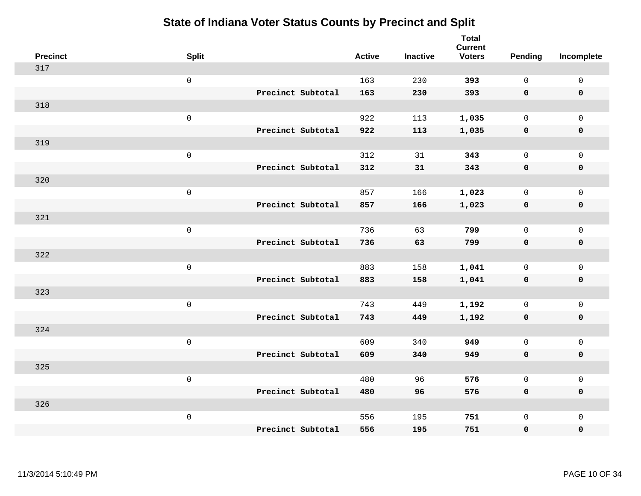| <b>Precinct</b> | <b>Split</b>        |                   | <b>Active</b> | <b>Inactive</b> | <b>Total</b><br><b>Current</b><br><b>Voters</b> | Pending      | Incomplete          |
|-----------------|---------------------|-------------------|---------------|-----------------|-------------------------------------------------|--------------|---------------------|
| 317             |                     |                   |               |                 |                                                 |              |                     |
|                 | $\mathsf 0$         |                   | 163           | 230             | 393                                             | $\mathbf{0}$ | $\mathsf{O}\xspace$ |
|                 |                     | Precinct Subtotal | 163           | 230             | 393                                             | $\mathbf 0$  | $\mathbf 0$         |
| 318             |                     |                   |               |                 |                                                 |              |                     |
|                 | $\mathsf 0$         |                   | 922           | 113             | 1,035                                           | $\mathbf 0$  | $\mathsf{O}$        |
|                 |                     | Precinct Subtotal | 922           | 113             | 1,035                                           | 0            | 0                   |
| 319             |                     |                   |               |                 |                                                 |              |                     |
|                 | $\mathsf 0$         |                   | 312           | 31              | 343                                             | $\mathbf 0$  | $\mathsf{O}$        |
|                 |                     | Precinct Subtotal | 312           | 31              | 343                                             | $\mathbf 0$  | $\pmb{0}$           |
| 320             |                     |                   |               |                 |                                                 |              |                     |
|                 | $\mathsf 0$         |                   | 857           | 166             | 1,023                                           | $\mathbf 0$  | $\mathsf{O}\xspace$ |
|                 |                     | Precinct Subtotal | 857           | 166             | 1,023                                           | $\mathbf 0$  | $\pmb{0}$           |
| 321             |                     |                   |               |                 |                                                 |              |                     |
|                 | $\mathbf 0$         |                   | 736           | 63              | 799                                             | $\mathbf 0$  | $\mathsf{O}\xspace$ |
|                 |                     | Precinct Subtotal | 736           | 63              | 799                                             | 0            | $\pmb{0}$           |
| 322             |                     |                   |               |                 |                                                 |              |                     |
|                 | $\,0\,$             |                   | 883           | 158             | 1,041                                           | $\mathsf{O}$ | $\mathsf{O}$        |
|                 |                     | Precinct Subtotal | 883           | 158             | 1,041                                           | 0            | 0                   |
| 323             |                     |                   |               |                 |                                                 |              |                     |
|                 | $\mathbf 0$         |                   | 743           | 449             | 1,192                                           | $\mathsf{O}$ | $\mathsf{O}\xspace$ |
|                 |                     | Precinct Subtotal | 743           | 449             | 1,192                                           | 0            | 0                   |
| 324             |                     |                   |               |                 |                                                 |              |                     |
|                 | $\mathsf{O}\xspace$ |                   | 609           | 340             | 949                                             | $\mathbf 0$  | $\mathsf{O}\xspace$ |
|                 |                     | Precinct Subtotal | 609           | 340             | 949                                             | 0            | 0                   |
| 325             |                     |                   |               |                 |                                                 |              |                     |
|                 | $\mathbf 0$         |                   | 480           | 96              | 576                                             | $\mathsf{O}$ | $\mathsf{O}\xspace$ |
|                 |                     | Precinct Subtotal | 480           | 96              | 576                                             | 0            | 0                   |
| 326             |                     |                   |               |                 |                                                 |              |                     |
|                 | $\mathbf 0$         |                   | 556           | 195             | 751                                             | $\mathsf{O}$ | $\mathsf{O}$        |
|                 |                     | Precinct Subtotal | 556           | 195             | 751                                             | 0            | 0                   |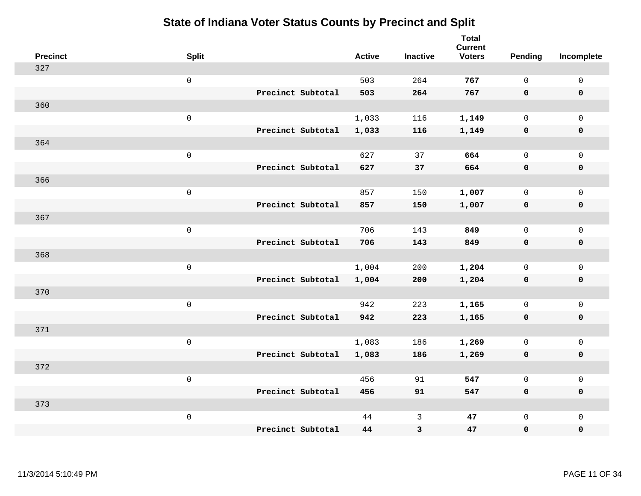| <b>Precinct</b> | <b>Split</b>        |                   | <b>Active</b> | <b>Inactive</b> | <b>Total</b><br><b>Current</b><br><b>Voters</b> | Pending      | Incomplete          |
|-----------------|---------------------|-------------------|---------------|-----------------|-------------------------------------------------|--------------|---------------------|
| 327             |                     |                   |               |                 |                                                 |              |                     |
|                 | $\mathsf 0$         |                   | 503           | 264             | 767                                             | $\mathbf{0}$ | $\mathsf{O}\xspace$ |
|                 |                     | Precinct Subtotal | 503           | 264             | 767                                             | $\mathbf 0$  | $\mathbf 0$         |
| 360             |                     |                   |               |                 |                                                 |              |                     |
|                 | $\mathsf 0$         |                   | 1,033         | 116             | 1,149                                           | $\mathsf{O}$ | $\mathsf{O}$        |
|                 |                     | Precinct Subtotal | 1,033         | 116             | 1,149                                           | 0            | 0                   |
| 364             |                     |                   |               |                 |                                                 |              |                     |
|                 | $\mathsf 0$         |                   | 627           | 37              | 664                                             | $\mathbf 0$  | $\mathsf{O}$        |
|                 |                     | Precinct Subtotal | 627           | 37              | 664                                             | $\mathbf 0$  | $\pmb{0}$           |
| 366             |                     |                   |               |                 |                                                 |              |                     |
|                 | $\mathsf 0$         |                   | 857           | 150             | 1,007                                           | $\mathbf 0$  | $\mathsf{O}\xspace$ |
|                 |                     | Precinct Subtotal | 857           | 150             | 1,007                                           | $\mathbf 0$  | $\pmb{0}$           |
| 367             |                     |                   |               |                 |                                                 |              |                     |
|                 | $\mathbf 0$         |                   | 706           | 143             | 849                                             | $\mathbf 0$  | $\mathsf{O}\xspace$ |
|                 |                     | Precinct Subtotal | 706           | 143             | 849                                             | 0            | $\pmb{0}$           |
| 368             |                     |                   |               |                 |                                                 |              |                     |
|                 | $\,0\,$             |                   | 1,004         | 200             | 1,204                                           | $\mathsf{O}$ | $\mathsf{O}$        |
|                 |                     | Precinct Subtotal | 1,004         | 200             | 1,204                                           | 0            | 0                   |
| 370             |                     |                   |               |                 |                                                 |              |                     |
|                 | $\mathbf 0$         |                   | 942           | 223             | 1,165                                           | $\mathsf{O}$ | $\mathsf{O}\xspace$ |
|                 |                     | Precinct Subtotal | 942           | 223             | 1,165                                           | 0            | 0                   |
| 371             |                     |                   |               |                 |                                                 |              |                     |
|                 | $\mathsf{O}\xspace$ |                   | 1,083         | 186             | 1,269                                           | $\mathbf 0$  | $\mathsf{O}\xspace$ |
|                 |                     | Precinct Subtotal | 1,083         | 186             | 1,269                                           | $\mathbf 0$  | 0                   |
| 372             |                     |                   |               |                 |                                                 |              |                     |
|                 | $\mathbf 0$         |                   | 456           | 91              | 547                                             | $\mathsf{O}$ | $\mathsf{O}\xspace$ |
|                 |                     | Precinct Subtotal | 456           | 91              | 547                                             | 0            | 0                   |
| 373             |                     |                   |               |                 |                                                 |              |                     |
|                 | $\mathbf 0$         |                   | 44            | $\mathbf{3}$    | 47                                              | $\mathsf{O}$ | $\mathsf{O}$        |
|                 |                     | Precinct Subtotal | 44            | 3               | 47                                              | 0            | 0                   |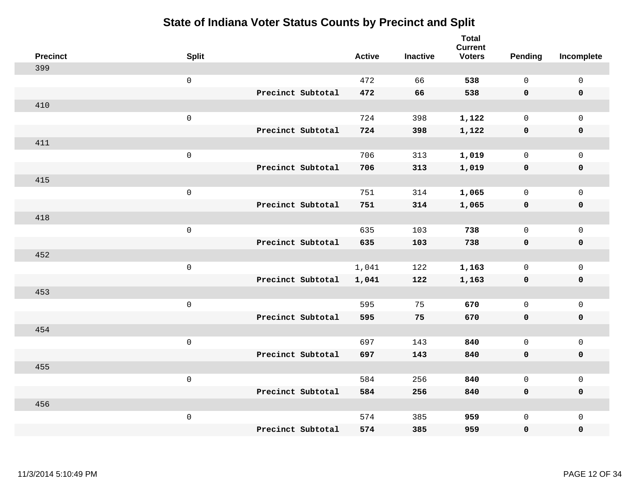| <b>Precinct</b> | <b>Split</b>        | <b>Active</b> | <b>Inactive</b> | <b>Total</b><br><b>Current</b><br><b>Voters</b> | Pending      | Incomplete          |
|-----------------|---------------------|---------------|-----------------|-------------------------------------------------|--------------|---------------------|
| 399             |                     |               |                 |                                                 |              |                     |
|                 | $\mathsf{O}\xspace$ | 472           | 66              | 538                                             | $\mathbf 0$  | $\mathsf{O}\xspace$ |
|                 | Precinct Subtotal   | 472           | 66              | 538                                             | $\mathbf 0$  | $\mathbf 0$         |
| 410             |                     |               |                 |                                                 |              |                     |
|                 | $\mathsf{O}\xspace$ | 724           | 398             | 1,122                                           | $\mathsf{O}$ | $\mathsf{O}$        |
|                 | Precinct Subtotal   | 724           | 398             | 1,122                                           | 0            | 0                   |
| 411             |                     |               |                 |                                                 |              |                     |
|                 | $\mathsf{O}\xspace$ | 706           | 313             | 1,019                                           | $\mathbf 0$  | $\mathsf{O}$        |
|                 | Precinct Subtotal   | 706           | 313             | 1,019                                           | $\mathbf 0$  | 0                   |
| 415             |                     |               |                 |                                                 |              |                     |
|                 | $\mathsf{O}\xspace$ | 751           | 314             | 1,065                                           | $\mathbf 0$  | $\mathsf{O}\xspace$ |
|                 | Precinct Subtotal   | 751           | 314             | 1,065                                           | $\mathbf 0$  | $\pmb{0}$           |
| 418             |                     |               |                 |                                                 |              |                     |
|                 | $\mathsf{O}\xspace$ | 635           | 103             | 738                                             | $\Omega$     | $\mathbf 0$         |
|                 | Precinct Subtotal   | 635           | 103             | 738                                             | 0            | $\mathbf 0$         |
| 452             |                     |               |                 |                                                 |              |                     |
|                 | $\mathsf{O}\xspace$ | 1,041         | 122             | 1,163                                           | $\mathsf{O}$ | $\mathsf{O}$        |
|                 | Precinct Subtotal   | 1,041         | 122             | 1,163                                           | $\mathbf 0$  | 0                   |
| 453             |                     |               |                 |                                                 |              |                     |
|                 | $\mathsf{O}\xspace$ | 595           | 75              | 670                                             | $\mathbf 0$  | $\mathsf{O}\xspace$ |
|                 | Precinct Subtotal   | 595           | 75              | 670                                             | 0            | 0                   |
| 454             |                     |               |                 |                                                 |              |                     |
|                 | $\mathsf 0$         | 697           | 143             | 840                                             | $\mathbf 0$  | $\mathsf{O}\xspace$ |
|                 | Precinct Subtotal   | 697           | 143             | 840                                             | 0            | 0                   |
| 455             |                     |               |                 |                                                 |              |                     |
|                 | $\mathsf{O}\xspace$ | 584           | 256             | 840                                             | $\mathsf{O}$ | $\mathsf{O}$        |
|                 | Precinct Subtotal   | 584           | 256             | 840                                             | $\mathbf 0$  | 0                   |
| 456             |                     |               |                 |                                                 |              |                     |
|                 | $\mathsf 0$         | 574           | 385             | 959                                             | $\mathsf{O}$ | $\mathsf{O}$        |
|                 | Precinct Subtotal   | 574           | 385             | 959                                             | 0            | 0                   |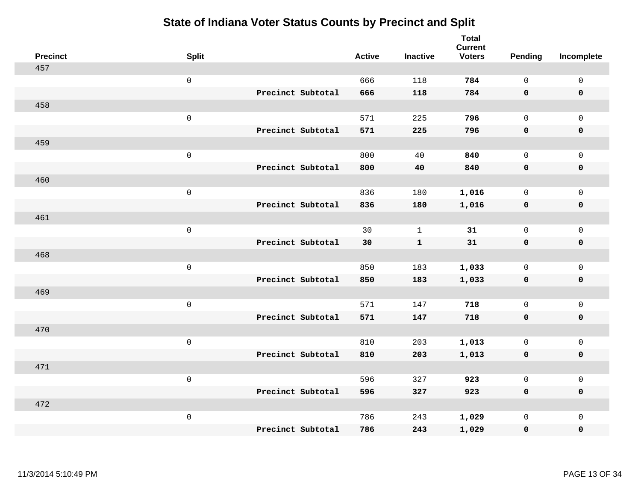| <b>Precinct</b> | <b>Split</b>        |                   | <b>Active</b> | <b>Inactive</b> | <b>Total</b><br><b>Current</b><br><b>Voters</b> | Pending      | Incomplete          |
|-----------------|---------------------|-------------------|---------------|-----------------|-------------------------------------------------|--------------|---------------------|
| 457             |                     |                   |               |                 |                                                 |              |                     |
|                 | $\mathsf{O}\xspace$ |                   | 666           | 118             | 784                                             | $\mathbf 0$  | $\mathsf{O}\xspace$ |
|                 |                     | Precinct Subtotal | 666           | 118             | 784                                             | $\mathbf 0$  | $\mathbf 0$         |
| 458             |                     |                   |               |                 |                                                 |              |                     |
|                 | $\mathsf{O}\xspace$ |                   | 571           | 225             | 796                                             | $\mathsf{O}$ | $\mathsf{O}$        |
|                 |                     | Precinct Subtotal | 571           | 225             | 796                                             | $\mathbf 0$  | 0                   |
| 459             |                     |                   |               |                 |                                                 |              |                     |
|                 | $\mathsf{O}\xspace$ |                   | 800           | 40              | 840                                             | $\mathbf 0$  | $\mathsf{O}$        |
|                 |                     | Precinct Subtotal | 800           | 40              | 840                                             | $\mathbf 0$  | $\pmb{0}$           |
| 460             |                     |                   |               |                 |                                                 |              |                     |
|                 | $\mathsf{O}\xspace$ |                   | 836           | 180             | 1,016                                           | $\mathbf 0$  | $\mathsf{O}\xspace$ |
|                 |                     | Precinct Subtotal | 836           | 180             | 1,016                                           | $\mathbf 0$  | $\pmb{0}$           |
| 461             |                     |                   |               |                 |                                                 |              |                     |
|                 | $\mathsf{O}\xspace$ |                   | 30            | $\mathbf{1}$    | 31                                              | $\mathbf 0$  | $\mathsf{O}\xspace$ |
|                 |                     | Precinct Subtotal | 30            | $\mathbf{1}$    | 31                                              | 0            | $\mathbf 0$         |
| 468             |                     |                   |               |                 |                                                 |              |                     |
|                 | $\mathsf{O}\xspace$ |                   | 850           | 183             | 1,033                                           | $\mathbf 0$  | $\mathsf{O}$        |
|                 |                     | Precinct Subtotal | 850           | 183             | 1,033                                           | $\mathbf 0$  | 0                   |
| 469             |                     |                   |               |                 |                                                 |              |                     |
|                 | $\mathsf{O}\xspace$ |                   | 571           | 147             | 718                                             | $\mathbf 0$  | $\mathsf{O}\xspace$ |
|                 |                     | Precinct Subtotal | 571           | 147             | 718                                             | 0            | 0                   |
| 470             |                     |                   |               |                 |                                                 |              |                     |
|                 | $\mathsf 0$         |                   | 810           | 203             | 1,013                                           | $\mathbf 0$  | $\mathsf{O}\xspace$ |
|                 |                     | Precinct Subtotal | 810           | 203             | 1,013                                           | $\mathbf 0$  | 0                   |
| 471             |                     |                   |               |                 |                                                 |              |                     |
|                 | $\mathsf{O}\xspace$ |                   | 596           | 327             | 923                                             | $\mathsf{O}$ | $\mathsf{O}\xspace$ |
|                 |                     | Precinct Subtotal | 596           | 327             | 923                                             | 0            | 0                   |
| 472             |                     |                   |               |                 |                                                 |              |                     |
|                 | $\mathsf{O}\xspace$ |                   | 786           | 243             | 1,029                                           | $\mathsf{O}$ | $\mathsf{O}$        |
|                 |                     | Precinct Subtotal | 786           | 243             | 1,029                                           | 0            | 0                   |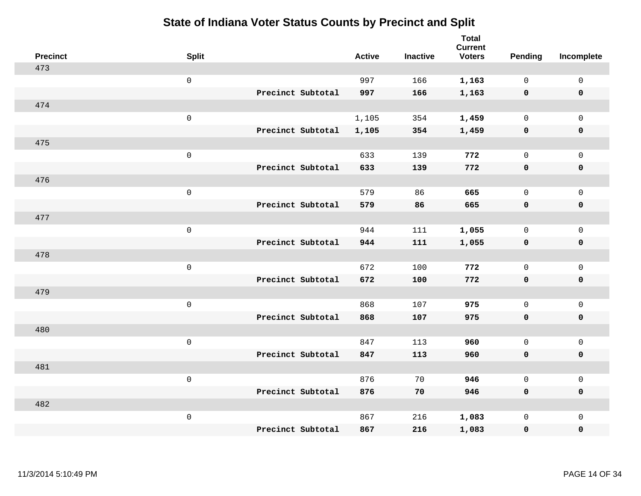| <b>Precinct</b> | <b>Split</b>        |                   | <b>Active</b> | <b>Inactive</b> | <b>Total</b><br><b>Current</b><br><b>Voters</b> | Pending      | Incomplete          |
|-----------------|---------------------|-------------------|---------------|-----------------|-------------------------------------------------|--------------|---------------------|
| 473             |                     |                   |               |                 |                                                 |              |                     |
|                 | $\mathsf{O}$        |                   | 997           | 166             | 1,163                                           | $\mathbf 0$  | $\mathsf{O}$        |
|                 |                     | Precinct Subtotal | 997           | 166             | 1,163                                           | $\mathbf 0$  | $\mathbf 0$         |
| 474             |                     |                   |               |                 |                                                 |              |                     |
|                 | $\mathsf{O}\xspace$ |                   | 1,105         | 354             | 1,459                                           | $\mathsf{O}$ | $\mathsf{O}$        |
|                 |                     | Precinct Subtotal | 1,105         | 354             | 1,459                                           | $\mathbf 0$  | 0                   |
| 475             |                     |                   |               |                 |                                                 |              |                     |
|                 | $\mathsf{O}\xspace$ |                   | 633           | 139             | 772                                             | $\mathbf 0$  | $\mathsf{O}\xspace$ |
|                 |                     | Precinct Subtotal | 633           | 139             | 772                                             | 0            | 0                   |
| 476             |                     |                   |               |                 |                                                 |              |                     |
|                 | $\mathsf{O}\xspace$ |                   | 579           | 86              | 665                                             | $\mathbf 0$  | $\mathsf{O}\xspace$ |
|                 |                     | Precinct Subtotal | 579           | 86              | 665                                             | $\mathbf 0$  | 0                   |
| 477             |                     |                   |               |                 |                                                 |              |                     |
|                 | $\mathsf{O}\xspace$ |                   | 944           | 111             | 1,055                                           | $\mathbf 0$  | $\mathsf{O}$        |
|                 |                     | Precinct Subtotal | 944           | 111             | 1,055                                           | 0            | 0                   |
| 478             |                     |                   |               |                 |                                                 |              |                     |
|                 | $\mathsf 0$         |                   | 672           | 100             | 772                                             | $\mathsf{O}$ | $\mathsf{O}$        |
|                 |                     | Precinct Subtotal | 672           | 100             | 772                                             | 0            | 0                   |
| 479             |                     |                   |               |                 |                                                 |              |                     |
|                 | $\mathsf 0$         |                   | 868           | 107             | 975                                             | $\mathsf{O}$ | $\mathsf{O}$        |
|                 |                     | Precinct Subtotal | 868           | 107             | 975                                             | 0            | 0                   |
| 480             |                     |                   |               |                 |                                                 |              |                     |
|                 | $\mathsf 0$         |                   | 847           | 113             | 960                                             | $\mathbf 0$  | $\mathsf{O}\xspace$ |
|                 |                     | Precinct Subtotal | 847           | 113             | 960                                             | 0            | 0                   |
| 481             |                     |                   |               |                 |                                                 |              |                     |
|                 | $\mathsf 0$         |                   | 876           | 70              | 946                                             | $\mathbf 0$  | $\mathsf{O}\xspace$ |
|                 |                     | Precinct Subtotal | 876           | 70              | 946                                             | 0            | 0                   |
| 482             |                     |                   |               |                 |                                                 |              |                     |
|                 | $\mathsf 0$         |                   | 867           | 216             | 1,083                                           | $\mathsf{O}$ | $\mathsf{O}$        |
|                 |                     | Precinct Subtotal | 867           | 216             | 1,083                                           | 0            | 0                   |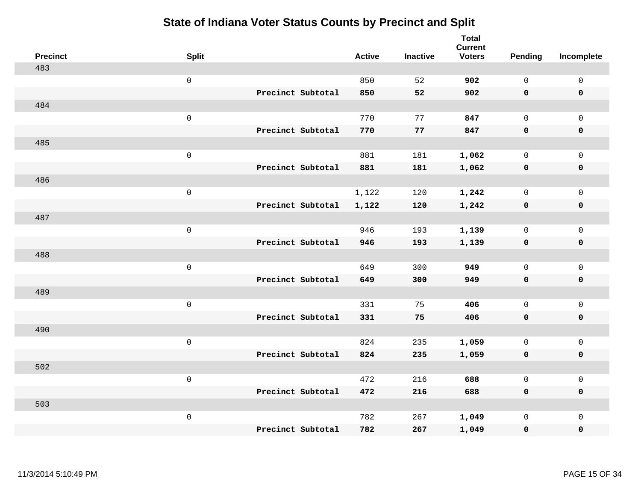| <b>Precinct</b> | <b>Split</b>        |                   | <b>Active</b> | <b>Inactive</b> | <b>Total</b><br><b>Current</b><br><b>Voters</b> | Pending      | Incomplete          |
|-----------------|---------------------|-------------------|---------------|-----------------|-------------------------------------------------|--------------|---------------------|
| 483             |                     |                   |               |                 |                                                 |              |                     |
|                 | $\mathsf{O}\xspace$ |                   | 850           | 52              | 902                                             | $\mathbf 0$  | $\mathsf{O}\xspace$ |
|                 |                     | Precinct Subtotal | 850           | 52              | 902                                             | $\mathbf 0$  | $\mathbf 0$         |
| 484             |                     |                   |               |                 |                                                 |              |                     |
|                 | $\mathsf{O}\xspace$ |                   | 770           | 77              | 847                                             | $\mathbf 0$  | $\mathsf{O}$        |
|                 |                     | Precinct Subtotal | 770           | 77              | 847                                             | $\mathbf 0$  | 0                   |
| 485             |                     |                   |               |                 |                                                 |              |                     |
|                 | $\mathsf 0$         |                   | 881           | 181             | 1,062                                           | $\mathbf 0$  | $\mathsf{O}$        |
|                 |                     | Precinct Subtotal | 881           | 181             | 1,062                                           | $\mathbf 0$  | 0                   |
| 486             |                     |                   |               |                 |                                                 |              |                     |
|                 | $\mathsf{O}\xspace$ |                   | 1,122         | 120             | 1,242                                           | $\mathbf 0$  | $\mathsf{O}\xspace$ |
|                 |                     | Precinct Subtotal | 1,122         | 120             | 1,242                                           | $\mathbf 0$  | $\pmb{0}$           |
| 487             |                     |                   |               |                 |                                                 |              |                     |
|                 | $\mathsf 0$         |                   | 946           | 193             | 1,139                                           | $\mathbf 0$  | $\mathsf{O}\xspace$ |
|                 |                     | Precinct Subtotal | 946           | 193             | 1,139                                           | 0            | $\mathbf 0$         |
| 488             |                     |                   |               |                 |                                                 |              |                     |
|                 | $\mathsf{O}\xspace$ |                   | 649           | 300             | 949                                             | $\mathbf{0}$ | $\mathsf{O}\xspace$ |
|                 |                     | Precinct Subtotal | 649           | 300             | 949                                             | $\mathbf 0$  | 0                   |
| 489             |                     |                   |               |                 |                                                 |              |                     |
|                 | $\mathsf{O}\xspace$ |                   | 331           | 75              | 406                                             | $\mathbf 0$  | $\mathsf{O}\xspace$ |
|                 |                     | Precinct Subtotal | 331           | 75              | 406                                             | 0            | 0                   |
| 490             |                     |                   |               |                 |                                                 |              |                     |
|                 | $\mathsf 0$         |                   | 824           | 235             | 1,059                                           | $\mathbf 0$  | $\mathsf{O}\xspace$ |
|                 |                     | Precinct Subtotal | 824           | 235             | 1,059                                           | $\mathbf 0$  | 0                   |
| 502             |                     |                   |               |                 |                                                 |              |                     |
|                 | $\mathsf 0$         |                   | 472           | 216             | 688                                             | $\mathsf{O}$ | $\mathsf{O}\xspace$ |
|                 |                     | Precinct Subtotal | 472           | 216             | 688                                             | $\mathbf 0$  | 0                   |
| 503             |                     |                   |               |                 |                                                 |              |                     |
|                 | $\mathsf 0$         |                   | 782           | 267             | 1,049                                           | $\mathsf{O}$ | $\mathsf{O}$        |
|                 |                     | Precinct Subtotal | 782           | 267             | 1,049                                           | 0            | 0                   |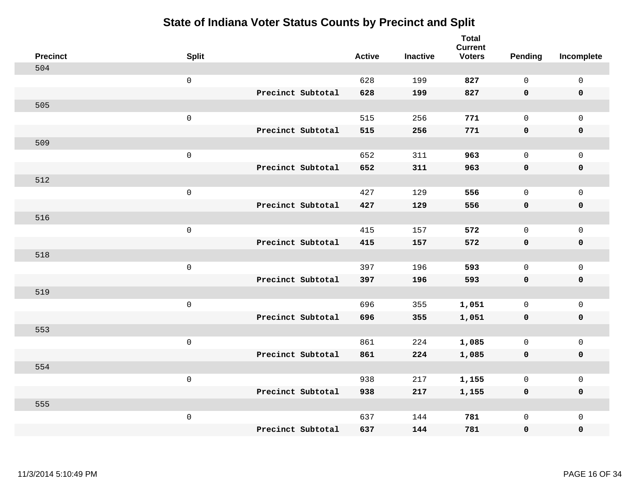| <b>Precinct</b> | <b>Split</b>        |                   | <b>Active</b> | <b>Inactive</b> | <b>Total</b><br><b>Current</b><br><b>Voters</b> | Pending      | Incomplete          |
|-----------------|---------------------|-------------------|---------------|-----------------|-------------------------------------------------|--------------|---------------------|
| 504             |                     |                   |               |                 |                                                 |              |                     |
|                 | $\mathsf{O}\xspace$ |                   | 628           | 199             | 827                                             | $\mathsf{O}$ | $\mathsf 0$         |
|                 |                     | Precinct Subtotal | 628           | 199             | 827                                             | $\mathbf 0$  | $\mathbf 0$         |
| 505             |                     |                   |               |                 |                                                 |              |                     |
|                 | $\mathbf 0$         |                   | 515           | 256             | 771                                             | $\mathbf 0$  | $\mathbf{0}$        |
|                 |                     | Precinct Subtotal | 515           | 256             | 771                                             | $\mathbf 0$  | $\mathbf 0$         |
| 509             |                     |                   |               |                 |                                                 |              |                     |
|                 | $\mathsf 0$         |                   | 652           | 311             | 963                                             | $\Omega$     | $\mathbf 0$         |
|                 |                     | Precinct Subtotal | 652           | 311             | 963                                             | $\mathbf 0$  | $\mathbf 0$         |
| 512             |                     |                   |               |                 |                                                 |              |                     |
|                 | $\mathbf 0$         |                   | 427           | 129             | 556                                             | $\mathbf 0$  | $\mathbf 0$         |
|                 |                     | Precinct Subtotal | 427           | 129             | 556                                             | $\mathbf 0$  | $\mathbf 0$         |
| 516             |                     |                   |               |                 |                                                 |              |                     |
|                 | $\mathbf 0$         |                   | 415           | 157             | 572                                             | $\mathbf 0$  | $\mathsf{O}\xspace$ |
|                 |                     | Precinct Subtotal | 415           | 157             | 572                                             | $\mathbf 0$  | $\mathbf 0$         |
| 518             |                     |                   |               |                 |                                                 |              |                     |
|                 | $\mathbf 0$         |                   | 397           | 196             | 593                                             | $\mathbf 0$  | $\mathbf 0$         |
|                 |                     | Precinct Subtotal | 397           | 196             | 593                                             | $\mathbf 0$  | $\mathbf 0$         |
| 519             |                     |                   |               |                 |                                                 |              |                     |
|                 | $\mathbf 0$         |                   | 696           | 355             | 1,051                                           | $\mathsf{O}$ | $\mathbf 0$         |
|                 |                     | Precinct Subtotal | 696           | 355             | 1,051                                           | 0            | 0                   |
| 553             |                     |                   |               |                 |                                                 |              |                     |
|                 | $\mathbf 0$         |                   | 861           | 224             | 1,085                                           | $\mathbf 0$  | $\mathbf 0$         |
|                 |                     | Precinct Subtotal | 861           | 224             | 1,085                                           | 0            | $\pmb{0}$           |
| 554             |                     |                   |               |                 |                                                 |              |                     |
|                 | $\mathbf 0$         |                   | 938           | 217             | 1,155                                           | $\mathbf 0$  | $\mathbf 0$         |
|                 |                     | Precinct Subtotal | 938           | 217             | 1,155                                           | $\mathbf 0$  | $\pmb{0}$           |
| 555             |                     |                   |               |                 |                                                 |              |                     |
|                 | $\mathbf 0$         |                   | 637           | 144             | 781                                             | $\mathsf{O}$ | $\mathbf 0$         |
|                 |                     | Precinct Subtotal | 637           | 144             | 781                                             | 0            | 0                   |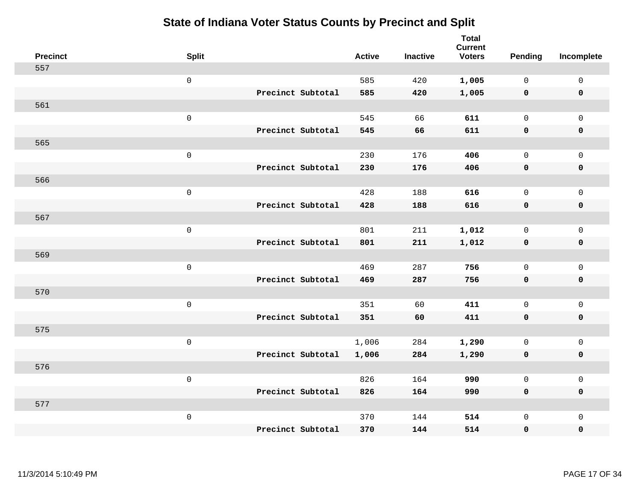| <b>Precinct</b> | <b>Split</b>        |                   | <b>Active</b> | <b>Inactive</b> | <b>Total</b><br><b>Current</b><br><b>Voters</b> | Pending      | Incomplete          |
|-----------------|---------------------|-------------------|---------------|-----------------|-------------------------------------------------|--------------|---------------------|
| 557             |                     |                   |               |                 |                                                 |              |                     |
|                 | $\mathbf 0$         |                   | 585           | 420             | 1,005                                           | $\mathbf 0$  | $\mathsf{O}$        |
|                 |                     | Precinct Subtotal | 585           | 420             | 1,005                                           | $\mathbf 0$  | $\pmb{0}$           |
| 561             |                     |                   |               |                 |                                                 |              |                     |
|                 | $\mathsf{O}\xspace$ |                   | 545           | 66              | 611                                             | $\mathsf{O}$ | $\mathsf{O}$        |
|                 |                     | Precinct Subtotal | 545           | 66              | 611                                             | 0            | 0                   |
| 565             |                     |                   |               |                 |                                                 |              |                     |
|                 | $\mathbf 0$         |                   | 230           | 176             | 406                                             | $\mathbf 0$  | $\mathsf{O}\xspace$ |
|                 |                     | Precinct Subtotal | 230           | 176             | 406                                             | 0            | 0                   |
| 566             |                     |                   |               |                 |                                                 |              |                     |
|                 | $\mathsf{O}\xspace$ |                   | 428           | 188             | 616                                             | $\mathbf 0$  | $\mathsf{O}\xspace$ |
|                 |                     | Precinct Subtotal | 428           | 188             | 616                                             | $\mathbf 0$  | 0                   |
| 567             |                     |                   |               |                 |                                                 |              |                     |
|                 | $\mathbf 0$         |                   | 801           | 211             | 1,012                                           | $\mathbf 0$  | $\mathsf{O}$        |
|                 |                     | Precinct Subtotal | 801           | 211             | 1,012                                           | $\mathbf 0$  | 0                   |
| 569             |                     |                   |               |                 |                                                 |              |                     |
|                 | $\mathbf 0$         |                   | 469           | 287             | 756                                             | $\mathbf 0$  | $\mathsf{O}$        |
|                 |                     | Precinct Subtotal | 469           | 287             | 756                                             | 0            | 0                   |
| 570             |                     |                   |               |                 |                                                 |              |                     |
|                 | $\mathbf 0$         |                   | 351           | 60              | 411                                             | $\mathsf{O}$ | $\mathsf{O}$        |
|                 |                     | Precinct Subtotal | 351           | 60              | 411                                             | 0            | 0                   |
| 575             |                     |                   |               |                 |                                                 |              |                     |
|                 | $\mathbf 0$         |                   | 1,006         | 284             | 1,290                                           | $\mathbf 0$  | $\mathsf{O}\xspace$ |
|                 |                     | Precinct Subtotal | 1,006         | 284             | 1,290                                           | 0            | 0                   |
| 576             |                     |                   |               |                 |                                                 |              |                     |
|                 | $\mathbf 0$         |                   | 826           | 164             | 990                                             | $\mathbf 0$  | $\mathsf 0$         |
|                 |                     | Precinct Subtotal | 826           | 164             | 990                                             | 0            | 0                   |
| 577             |                     |                   |               |                 |                                                 |              |                     |
|                 | $\mathbf 0$         | Precinct Subtotal | 370           | 144             | 514                                             | $\mathsf{O}$ | $\mathsf{O}$        |
|                 |                     |                   | 370           | 144             | 514                                             | 0            | 0                   |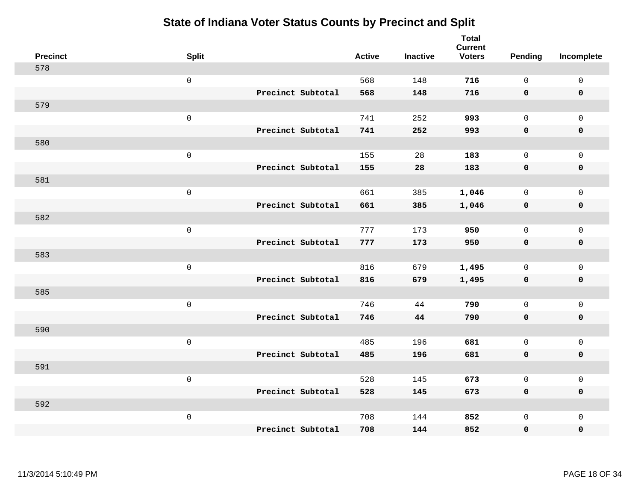| <b>Precinct</b> | <b>Split</b>        | <b>Active</b> | <b>Inactive</b> | <b>Total</b><br><b>Current</b><br><b>Voters</b> | Pending      | Incomplete  |
|-----------------|---------------------|---------------|-----------------|-------------------------------------------------|--------------|-------------|
| 578             |                     |               |                 |                                                 |              |             |
|                 | $\mathsf{O}\xspace$ | 568           | 148             | 716                                             | $\Omega$     | $\mathsf 0$ |
|                 | Precinct Subtotal   | 568           | 148             | 716                                             | $\mathbf 0$  | $\mathbf 0$ |
| 579             |                     |               |                 |                                                 |              |             |
|                 | $\mathbf 0$         | 741           | 252             | 993                                             | $\mathbf 0$  | $\mathbf 0$ |
|                 | Precinct Subtotal   | 741           | 252             | 993                                             | $\mathbf 0$  | $\mathbf 0$ |
| 580             |                     |               |                 |                                                 |              |             |
|                 | $\mathsf 0$         | 155           | 28              | 183                                             | $\Omega$     | $\mathbf 0$ |
|                 | Precinct Subtotal   | 155           | 28              | 183                                             | $\mathbf 0$  | $\mathbf 0$ |
| 581             |                     |               |                 |                                                 |              |             |
|                 | $\mathbf 0$         | 661           | 385             | 1,046                                           | $\mathbf 0$  | $\mathbf 0$ |
|                 | Precinct Subtotal   | 661           | 385             | 1,046                                           | $\mathbf 0$  | $\mathbf 0$ |
| 582             |                     |               |                 |                                                 |              |             |
|                 | $\mathbf 0$         | 777           | 173             | 950                                             | $\mathbf 0$  | $\mathsf 0$ |
|                 | Precinct Subtotal   | 777           | 173             | 950                                             | $\mathbf 0$  | $\mathbf 0$ |
| 583             |                     |               |                 |                                                 |              |             |
|                 | $\mathbf 0$         | 816           | 679             | 1,495                                           | $\mathbf 0$  | $\mathbf 0$ |
|                 | Precinct Subtotal   | 816           | 679             | 1,495                                           | $\mathbf 0$  | $\mathbf 0$ |
| 585             |                     |               |                 |                                                 |              |             |
|                 | $\mathbf 0$         | 746           | 44              | 790                                             | $\mathbf 0$  | $\mathbf 0$ |
|                 | Precinct Subtotal   | 746           | 44              | 790                                             | $\mathbf 0$  | 0           |
| 590             |                     |               |                 |                                                 |              |             |
|                 | $\mathbf 0$         | 485           | 196             | 681                                             | $\mathbf 0$  | $\mathbf 0$ |
|                 | Precinct Subtotal   | 485           | 196             | 681                                             | 0            | $\pmb{0}$   |
| 591             |                     |               |                 |                                                 |              |             |
|                 | $\mathbf 0$         | 528           | 145             | 673                                             | $\mathbf 0$  | $\mathbf 0$ |
|                 | Precinct Subtotal   | 528           | 145             | 673                                             | $\mathbf 0$  | $\mathbf 0$ |
| 592             |                     |               |                 |                                                 |              |             |
|                 | $\mathbf 0$         | 708           | 144             | 852                                             | $\mathsf{O}$ | $\mathbf 0$ |
|                 | Precinct Subtotal   | 708           | 144             | 852                                             | 0            | 0           |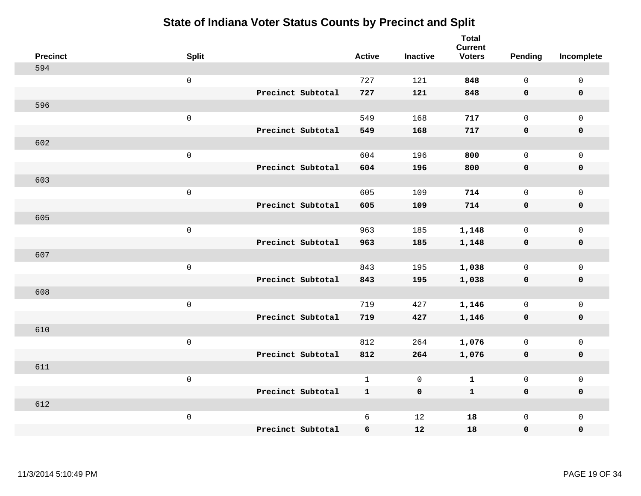| <b>Precinct</b> | <b>Split</b> |                   | <b>Active</b> | <b>Inactive</b> | <b>Total</b><br><b>Current</b><br><b>Voters</b> | <b>Pending</b> | Incomplete  |
|-----------------|--------------|-------------------|---------------|-----------------|-------------------------------------------------|----------------|-------------|
| 594             |              |                   |               |                 |                                                 |                |             |
|                 | $\mathsf 0$  |                   | 727           | 121             | 848                                             | $\mathbf 0$    | $\mathsf 0$ |
|                 |              | Precinct Subtotal | 727           | 121             | 848                                             | $\mathbf 0$    | $\mathbf 0$ |
| 596             |              |                   |               |                 |                                                 |                |             |
|                 | $\mathsf 0$  |                   | 549           | 168             | 717                                             | $\mathsf{O}$   | $\mathbf 0$ |
|                 |              | Precinct Subtotal | 549           | 168             | 717                                             | $\mathbf 0$    | $\mathbf 0$ |
| 602             |              |                   |               |                 |                                                 |                |             |
|                 | $\mathsf 0$  |                   | 604           | 196             | 800                                             | $\mathbf 0$    | $\mathsf 0$ |
|                 |              | Precinct Subtotal | 604           | 196             | 800                                             | $\mathbf 0$    | $\mathbf 0$ |
| 603             |              |                   |               |                 |                                                 |                |             |
|                 | $\mathbf 0$  |                   | 605           | 109             | 714                                             | $\mathbf 0$    | $\mathbf 0$ |
|                 |              | Precinct Subtotal | 605           | 109             | 714                                             | $\mathbf 0$    | $\mathbf 0$ |
| 605             |              |                   |               |                 |                                                 |                |             |
|                 | $\mathsf 0$  |                   | 963           | 185             | 1,148                                           | $\mathbf 0$    | $\mathbf 0$ |
|                 |              | Precinct Subtotal | 963           | 185             | 1,148                                           | 0              | $\mathbf 0$ |
| 607             |              |                   |               |                 |                                                 |                |             |
|                 | $\mathbf 0$  |                   | 843           | 195             | 1,038                                           | $\mathsf{O}$   | $\mathsf 0$ |
|                 |              | Precinct Subtotal | 843           | 195             | 1,038                                           | $\mathbf 0$    | $\mathbf 0$ |
| 608             |              |                   |               |                 |                                                 |                |             |
|                 | $\mathbf 0$  |                   | 719           | 427             | 1,146                                           | $\mathbf 0$    | $\mathsf 0$ |
|                 |              | Precinct Subtotal | 719           | 427             | 1,146                                           | 0              | $\mathbf 0$ |
| 610             |              |                   |               |                 |                                                 |                |             |
|                 | $\mathbf 0$  |                   | 812           | 264             | 1,076                                           | $\mathbf 0$    | $\mathsf 0$ |
|                 |              | Precinct Subtotal | 812           | 264             | 1,076                                           | $\mathbf 0$    | $\mathbf 0$ |
| 611             |              |                   |               |                 |                                                 |                |             |
|                 | $\mathsf 0$  |                   | $\mathbf{1}$  | $\mathsf{O}$    | $\mathbf 1$                                     | $\mathsf{O}$   | $\mathsf 0$ |
|                 |              | Precinct Subtotal | $\mathbf{1}$  | $\mathbf 0$     | $\mathbf{1}$                                    | $\mathbf 0$    | $\mathbf 0$ |
| 612             |              |                   |               |                 |                                                 |                |             |
|                 | $\mathbf 0$  |                   | 6             | 12              | 18                                              | $\mathsf{O}$   | $\mathbf 0$ |
|                 |              | Precinct Subtotal | 6             | 12              | 18                                              | 0              | $\pmb{0}$   |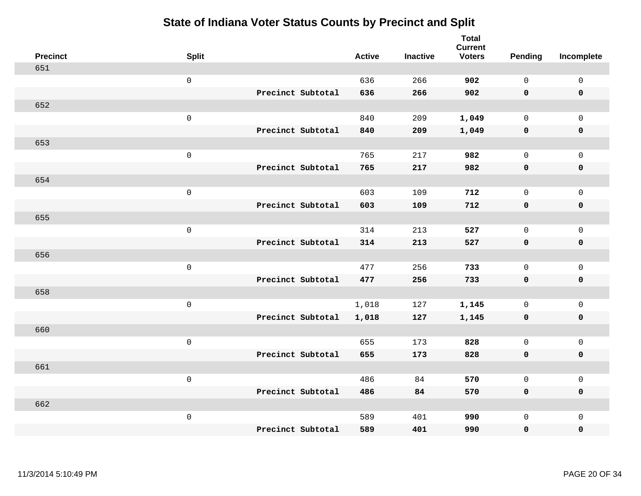| <b>Precinct</b> | <b>Split</b>        |                   | <b>Active</b> | <b>Inactive</b> | <b>Total</b><br><b>Current</b><br><b>Voters</b> | <b>Pending</b> | Incomplete          |
|-----------------|---------------------|-------------------|---------------|-----------------|-------------------------------------------------|----------------|---------------------|
| 651             |                     |                   |               |                 |                                                 |                |                     |
|                 | $\mathsf 0$         |                   | 636           | 266             | 902                                             | $\mathbf 0$    | $\mathsf{O}\xspace$ |
|                 |                     | Precinct Subtotal | 636           | 266             | 902                                             | $\mathbf 0$    | $\mathbf 0$         |
| 652             |                     |                   |               |                 |                                                 |                |                     |
|                 | $\mathsf{O}\xspace$ |                   | 840           | 209             | 1,049                                           | $\mathbf{0}$   | $\mathsf{O}$        |
|                 |                     | Precinct Subtotal | 840           | 209             | 1,049                                           | $\mathbf 0$    | 0                   |
| 653             |                     |                   |               |                 |                                                 |                |                     |
|                 | $\mathsf 0$         |                   | 765           | 217             | 982                                             | $\mathbf 0$    | $\mathsf{O}\xspace$ |
|                 |                     | Precinct Subtotal | 765           | 217             | 982                                             | 0              | $\pmb{0}$           |
| 654             |                     |                   |               |                 |                                                 |                |                     |
|                 | $\mathsf{O}\xspace$ |                   | 603           | 109             | 712                                             | $\mathsf{O}$   | $\mathsf{O}$        |
|                 |                     | Precinct Subtotal | 603           | 109             | 712                                             | 0              | 0                   |
| 655             |                     |                   |               |                 |                                                 |                |                     |
|                 | $\mathbf 0$         |                   | 314           | 213             | 527                                             | $\mathbf 0$    | $\mathsf{O}$        |
|                 |                     | Precinct Subtotal | 314           | 213             | 527                                             | 0              | 0                   |
| 656             |                     |                   |               |                 |                                                 |                |                     |
|                 | $\mathsf{O}\xspace$ |                   | 477           | 256             | 733                                             | $\mathbf 0$    | $\mathsf{O}\xspace$ |
|                 |                     | Precinct Subtotal | 477           | 256             | 733                                             | 0              | 0                   |
| 658             |                     |                   |               |                 |                                                 |                |                     |
|                 | $\mathbf 0$         |                   | 1,018         | 127             | 1,145                                           | $\mathbf 0$    | $\mathsf{O}$        |
|                 |                     | Precinct Subtotal | 1,018         | 127             | 1,145                                           | 0              | 0                   |
| 660             |                     |                   |               |                 |                                                 |                |                     |
|                 | $\mathbf 0$         |                   | 655           | 173             | 828                                             | $\mathsf{O}$   | $\mathsf{O}$        |
|                 |                     | Precinct Subtotal | 655           | 173             | 828                                             | $\mathbf 0$    | 0                   |
| 661             |                     |                   |               |                 |                                                 |                |                     |
|                 | $\mathbf 0$         |                   | 486           | 84              | 570                                             | $\mathbf 0$    | $\mathsf{O}$        |
|                 |                     | Precinct Subtotal | 486           | 84              | 570                                             | 0              | 0                   |
| 662             |                     |                   |               |                 |                                                 |                |                     |
|                 | $\mathbf 0$         |                   | 589           | 401             | 990                                             | $\mathsf{O}$   | $\mathsf{O}$        |
|                 |                     | Precinct Subtotal | 589           | 401             | 990                                             | 0              | 0                   |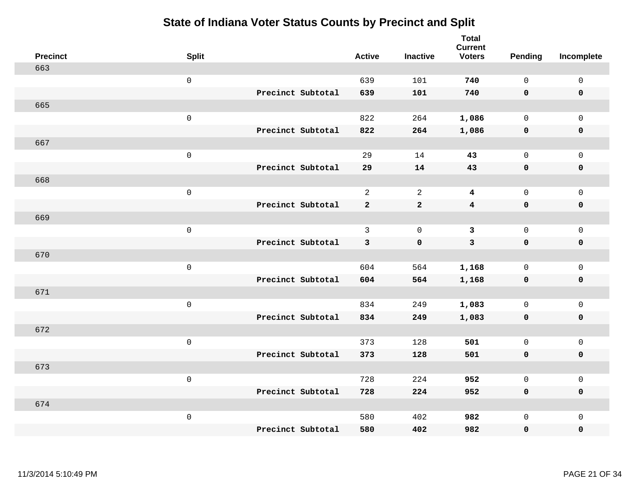| <b>Precinct</b> | <b>Split</b>        |                   | <b>Active</b>  | <b>Inactive</b> | <b>Total</b><br><b>Current</b><br><b>Voters</b> | Pending      | Incomplete          |
|-----------------|---------------------|-------------------|----------------|-----------------|-------------------------------------------------|--------------|---------------------|
| 663             |                     |                   |                |                 |                                                 |              |                     |
|                 | $\mathsf 0$         |                   | 639            | 101             | 740                                             | $\mathbf{0}$ | $\mathsf{O}\xspace$ |
|                 |                     | Precinct Subtotal | 639            | 101             | 740                                             | $\mathbf 0$  | $\mathbf 0$         |
| 665             |                     |                   |                |                 |                                                 |              |                     |
|                 | $\mathsf 0$         |                   | 822            | 264             | 1,086                                           | $\mathbf 0$  | $\mathsf{O}$        |
|                 |                     | Precinct Subtotal | 822            | 264             | 1,086                                           | 0            | 0                   |
| 667             |                     |                   |                |                 |                                                 |              |                     |
|                 | $\mathsf 0$         |                   | 29             | 14              | 43                                              | $\mathbf 0$  | $\mathsf{O}$        |
|                 |                     | Precinct Subtotal | 29             | 14              | 43                                              | $\mathbf 0$  | $\pmb{0}$           |
| 668             |                     |                   |                |                 |                                                 |              |                     |
|                 | $\mathsf 0$         |                   | $\overline{a}$ | 2               | $\overline{\mathbf{4}}$                         | $\mathbf 0$  | $\mathsf{O}\xspace$ |
|                 |                     | Precinct Subtotal | $\mathbf{2}$   | $\mathbf{2}$    | $\overline{\mathbf{4}}$                         | $\mathbf 0$  | $\pmb{0}$           |
| 669             |                     |                   |                |                 |                                                 |              |                     |
|                 | $\mathsf 0$         |                   | 3              | $\mathbf 0$     | $\mathbf{3}$                                    | $\mathbf 0$  | $\mathsf{O}\xspace$ |
|                 |                     | Precinct Subtotal | 3              | $\mathbf 0$     | $\mathbf{3}$                                    | 0            | $\mathbf 0$         |
| 670             |                     |                   |                |                 |                                                 |              |                     |
|                 | $\mathbf 0$         |                   | 604            | 564             | 1,168                                           | $\mathbf 0$  | $\mathsf{O}\xspace$ |
|                 |                     | Precinct Subtotal | 604            | 564             | 1,168                                           | $\mathbf 0$  | 0                   |
| 671             |                     |                   |                |                 |                                                 |              |                     |
|                 | $\mathbf 0$         |                   | 834            | 249             | 1,083                                           | $\mathbf 0$  | $\mathsf{O}\xspace$ |
|                 |                     | Precinct Subtotal | 834            | 249             | 1,083                                           | 0            | 0                   |
| 672             |                     |                   |                |                 |                                                 |              |                     |
|                 | $\mathsf{O}\xspace$ |                   | 373            | 128             | 501                                             | $\mathbf 0$  | $\mathsf{O}\xspace$ |
|                 |                     | Precinct Subtotal | 373            | 128             | 501                                             | 0            | 0                   |
| 673             |                     |                   |                |                 |                                                 |              |                     |
|                 | $\mathsf 0$         |                   | 728            | 224             | 952                                             | $\mathbf 0$  | $\mathsf 0$         |
|                 |                     | Precinct Subtotal | 728            | 224             | 952                                             | 0            | 0                   |
| 674             |                     |                   |                |                 |                                                 |              |                     |
|                 | $\mathbf 0$         |                   | 580            | 402             | 982                                             | $\mathsf{O}$ | $\mathsf{O}$        |
|                 |                     | Precinct Subtotal | 580            | 402             | 982                                             | 0            | 0                   |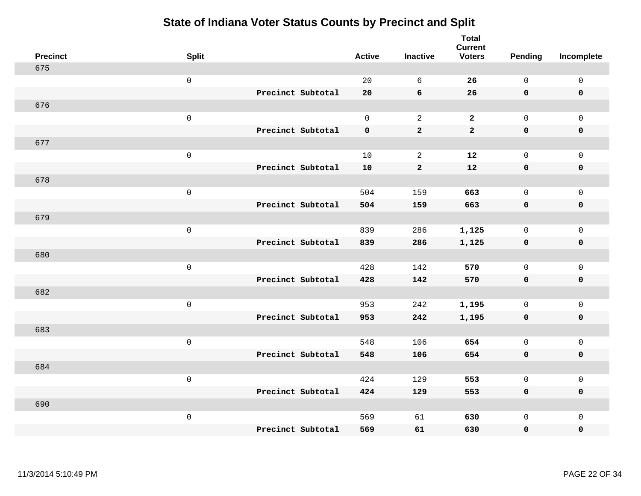| <b>Precinct</b> | <b>Split</b>        |                   | <b>Active</b> | <b>Inactive</b> | <b>Total</b><br><b>Current</b><br><b>Voters</b> | <b>Pending</b>      | Incomplete          |
|-----------------|---------------------|-------------------|---------------|-----------------|-------------------------------------------------|---------------------|---------------------|
| 675             |                     |                   |               |                 |                                                 |                     |                     |
|                 | $\mbox{O}$          |                   | 20            | 6               | 26                                              | $\mathsf{O}$        | $\mathsf 0$         |
|                 |                     | Precinct Subtotal | 20            | 6               | 26                                              | $\mathbf 0$         | $\mathbf 0$         |
| 676             |                     |                   |               |                 |                                                 |                     |                     |
|                 | $\mathsf{O}\xspace$ |                   | $\mathsf{O}$  | 2               | $\mathbf{2}$                                    | $\mathsf{O}\xspace$ | $\mathsf 0$         |
|                 |                     | Precinct Subtotal | $\mathbf 0$   | $\mathbf 2$     | $\mathbf{2}$                                    | $\mathbf 0$         | $\pmb{0}$           |
| 677             |                     |                   |               |                 |                                                 |                     |                     |
|                 | $\mbox{O}$          |                   | 10            | $\sqrt{2}$      | 12                                              | $\mathsf{O}$        | $\mathsf 0$         |
|                 |                     | Precinct Subtotal | 10            | $\mathbf{2}$    | 12                                              | $\mathbf 0$         | $\mathbf 0$         |
| 678             |                     |                   |               |                 |                                                 |                     |                     |
|                 | $\mathsf 0$         |                   | 504           | 159             | 663                                             | $\mathsf{O}$        | $\mathsf 0$         |
|                 |                     | Precinct Subtotal | 504           | 159             | 663                                             | $\mathbf 0$         | $\pmb{0}$           |
| 679             |                     |                   |               |                 |                                                 |                     |                     |
|                 | $\mathsf 0$         |                   | 839           | 286             | 1,125                                           | $\mathsf{O}$        | $\mathsf 0$         |
|                 |                     | Precinct Subtotal | 839           | 286             | 1,125                                           | $\mathbf 0$         | $\mathbf 0$         |
| 680             |                     |                   |               |                 |                                                 |                     |                     |
|                 | $\mathsf 0$         |                   | 428           | 142             | 570                                             | $\mathbf 0$         | $\mathsf 0$         |
|                 |                     | Precinct Subtotal | 428           | 142             | 570                                             | $\mathbf 0$         | $\mathbf 0$         |
| 682             |                     |                   |               |                 |                                                 |                     |                     |
|                 | $\mathsf 0$         |                   | 953           | 242             | 1,195                                           | $\mathbf 0$         | $\mathsf 0$         |
|                 |                     | Precinct Subtotal | 953           | 242             | 1,195                                           | $\mathbf 0$         | $\mathbf 0$         |
| 683             |                     |                   |               |                 |                                                 |                     |                     |
|                 | $\mathsf 0$         |                   | 548           | 106             | 654                                             | $\mathsf{O}$        | $\mathsf 0$         |
|                 |                     | Precinct Subtotal | 548           | 106             | 654                                             | $\mathbf 0$         | $\mathbf 0$         |
| 684             |                     |                   |               |                 |                                                 |                     |                     |
|                 | $\mathsf{O}\xspace$ |                   | 424           | 129             | 553                                             | $\mathbf 0$         | $\mathsf{O}\xspace$ |
|                 |                     | Precinct Subtotal | 424           | 129             | 553                                             | $\mathbf 0$         | $\mathbf 0$         |
| 690             |                     |                   |               |                 |                                                 |                     |                     |
|                 | $\mathbf 0$         |                   | 569           | 61              | 630                                             | $\mathsf{O}$        | $\mathbf 0$         |
|                 |                     | Precinct Subtotal | 569           | 61              | 630                                             | 0                   | $\pmb{0}$           |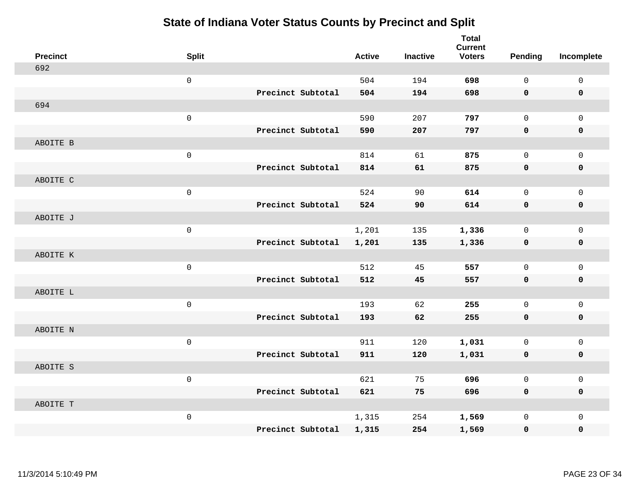| <b>Precinct</b> | <b>Split</b> |                   | <b>Active</b> | <b>Inactive</b> | <b>Total</b><br><b>Current</b><br><b>Voters</b> | Pending      | Incomplete          |
|-----------------|--------------|-------------------|---------------|-----------------|-------------------------------------------------|--------------|---------------------|
| 692             |              |                   |               |                 |                                                 |              |                     |
|                 | $\mathsf 0$  |                   | 504           | 194             | 698                                             | $\mathbf 0$  | $\mathbf 0$         |
|                 |              | Precinct Subtotal | 504           | 194             | 698                                             | $\mathbf 0$  | $\mathbf 0$         |
| 694             |              |                   |               |                 |                                                 |              |                     |
|                 | $\mathsf 0$  |                   | 590           | 207             | 797                                             | $\mathbf 0$  | $\mathbf{0}$        |
|                 |              | Precinct Subtotal | 590           | 207             | 797                                             | $\mathbf 0$  | $\pmb{0}$           |
| ABOITE B        |              |                   |               |                 |                                                 |              |                     |
|                 | $\mathsf 0$  |                   | 814           | 61              | 875                                             | $\mathbf 0$  | $\mathbf 0$         |
|                 |              | Precinct Subtotal | 814           | 61              | 875                                             | 0            | $\mathbf 0$         |
| ABOITE C        |              |                   |               |                 |                                                 |              |                     |
|                 | $\mathsf 0$  |                   | 524           | 90              | 614                                             | $\mathbf 0$  | $\mathbf 0$         |
|                 |              | Precinct Subtotal | 524           | 90              | 614                                             | $\mathbf 0$  | $\mathbf 0$         |
| ABOITE J        |              |                   |               |                 |                                                 |              |                     |
|                 | $\mathsf 0$  |                   | 1,201         | 135             | 1,336                                           | $\mathbf 0$  | $\mathbf 0$         |
|                 |              | Precinct Subtotal | 1,201         | 135             | 1,336                                           | 0            | $\mathbf 0$         |
| ABOITE K        |              |                   |               |                 |                                                 |              |                     |
|                 | $\mathsf 0$  |                   | 512           | 45              | 557                                             | $\mathbf 0$  | $\mathsf{O}\xspace$ |
|                 |              | Precinct Subtotal | 512           | 45              | 557                                             | $\mathbf 0$  | 0                   |
| ABOITE L        |              |                   |               |                 |                                                 |              |                     |
|                 | $\mathsf 0$  |                   | 193           | 62              | 255                                             | $\mathbf 0$  | $\mathsf{O}\xspace$ |
|                 |              | Precinct Subtotal | 193           | 62              | 255                                             | 0            | $\mathbf 0$         |
| ABOITE N        |              |                   |               |                 |                                                 |              |                     |
|                 | $\mathsf 0$  |                   | 911           | 120             | 1,031                                           | $\mathbf 0$  | $\mathbf 0$         |
|                 |              | Precinct Subtotal | 911           | 120             | 1,031                                           | $\mathbf 0$  | $\pmb{0}$           |
| ABOITE S        |              |                   |               |                 |                                                 |              |                     |
|                 | $\mathsf 0$  |                   | 621           | 75              | 696                                             | $\mathsf{O}$ | $\mathbf 0$         |
|                 |              | Precinct Subtotal | 621           | 75              | 696                                             | $\mathbf 0$  | $\mathbf 0$         |
| ABOITE T        |              |                   |               |                 |                                                 |              |                     |
|                 | $\mathsf 0$  |                   | 1,315         | 254             | 1,569                                           | $\mathsf{O}$ | $\mathbf 0$         |
|                 |              | Precinct Subtotal | 1,315         | 254             | 1,569                                           | 0            | 0                   |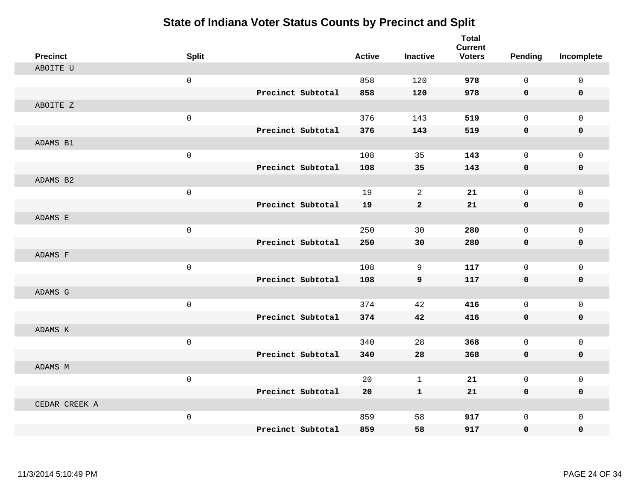| <b>Precinct</b> | <b>Split</b> |                   | <b>Active</b> | <b>Inactive</b>  | <b>Total</b><br><b>Current</b><br><b>Voters</b> | <b>Pending</b>      | Incomplete          |
|-----------------|--------------|-------------------|---------------|------------------|-------------------------------------------------|---------------------|---------------------|
| ABOITE U        |              |                   |               |                  |                                                 |                     |                     |
|                 | $\mathsf 0$  |                   | 858           | 120              | 978                                             | $\mathbf 0$         | $\mathsf{O}$        |
|                 |              | Precinct Subtotal | 858           | 120              | 978                                             | 0                   | 0                   |
| ABOITE Z        |              |                   |               |                  |                                                 |                     |                     |
|                 | $\mathsf 0$  |                   | 376           | 143              | 519                                             | $\mathbf 0$         | $\mathsf{O}$        |
|                 |              | Precinct Subtotal | 376           | 143              | 519                                             | $\mathbf 0$         | 0                   |
| ADAMS B1        |              |                   |               |                  |                                                 |                     |                     |
|                 | $\mathsf 0$  |                   | 108           | 35               | 143                                             | $\mathbf 0$         | $\mathsf{O}$        |
|                 |              | Precinct Subtotal | 108           | 35               | 143                                             | 0                   | 0                   |
| ADAMS B2        |              |                   |               |                  |                                                 |                     |                     |
|                 | $\mathsf 0$  |                   | 19            | 2                | 21                                              | $\mathbf 0$         | $\mathsf{O}$        |
|                 |              | Precinct Subtotal | 19            | $\mathbf{2}$     | 21                                              | 0                   | 0                   |
| ADAMS E         |              |                   |               |                  |                                                 |                     |                     |
|                 | $\mathbf 0$  |                   | 250           | 30               | 280                                             | $\Omega$            | $\mathbf 0$         |
|                 |              | Precinct Subtotal | 250           | 30               | 280                                             | 0                   | $\mathbf 0$         |
| ADAMS F         |              |                   |               |                  |                                                 |                     |                     |
|                 | $\mathsf 0$  |                   | 108           | 9                | 117                                             | $\mathbf 0$         | $\mathsf{O}$        |
|                 |              | Precinct Subtotal | 108           | $\boldsymbol{9}$ | 117                                             | $\mathbf 0$         | 0                   |
| ADAMS G         |              |                   |               |                  |                                                 |                     |                     |
|                 | $\mathsf 0$  |                   | 374           | 42               | 416                                             | $\mathbf 0$         | $\mathbf 0$         |
|                 |              | Precinct Subtotal | 374           | 42               | 416                                             | $\mathbf 0$         | 0                   |
| ADAMS K         |              |                   |               |                  |                                                 |                     |                     |
|                 | $\mathsf 0$  |                   | 340           | 28               | 368                                             | $\mathbf 0$         | $\mathsf{O}$        |
|                 |              | Precinct Subtotal | 340           | 28               | 368                                             | 0                   | 0                   |
| ADAMS M         |              |                   |               |                  |                                                 |                     |                     |
|                 | $\mathsf 0$  |                   | 20            | $\mathbf{1}$     | 21                                              | $\mathsf{O}\xspace$ | $\mathsf{O}\xspace$ |
|                 |              | Precinct Subtotal | 20            | $\mathbf{1}$     | 21                                              | 0                   | 0                   |
| CEDAR CREEK A   |              |                   |               |                  |                                                 |                     |                     |
|                 | $\mathsf 0$  |                   | 859           | 58               | 917                                             | $\mathbf 0$         | $\mathsf{O}$        |
|                 |              | Precinct Subtotal | 859           | 58               | 917                                             | 0                   | $\mathbf 0$         |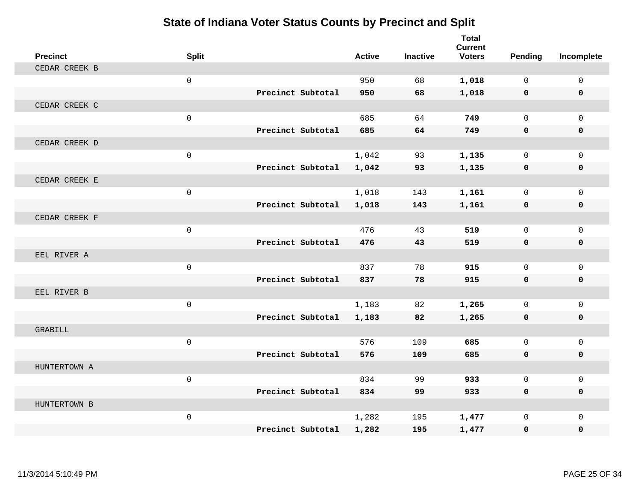| <b>Precinct</b> | <b>Split</b> |                   | <b>Active</b> | <b>Inactive</b> | <b>Total</b><br><b>Current</b><br><b>Voters</b> | <b>Pending</b> | Incomplete   |
|-----------------|--------------|-------------------|---------------|-----------------|-------------------------------------------------|----------------|--------------|
| CEDAR CREEK B   |              |                   |               |                 |                                                 |                |              |
|                 | $\mathbf 0$  |                   | 950           | 68              | 1,018                                           | $\mathbf 0$    | $\mathsf{O}$ |
|                 |              | Precinct Subtotal | 950           | 68              | 1,018                                           | 0              | 0            |
| CEDAR CREEK C   |              |                   |               |                 |                                                 |                |              |
|                 | $\mathbf 0$  |                   | 685           | 64              | 749                                             | $\Omega$       | $\Omega$     |
|                 |              | Precinct Subtotal | 685           | 64              | 749                                             | $\mathbf 0$    | 0            |
| CEDAR CREEK D   |              |                   |               |                 |                                                 |                |              |
|                 | $\mathbf 0$  |                   | 1,042         | 93              | 1,135                                           | $\mathbf 0$    | $\mathbf 0$  |
|                 |              | Precinct Subtotal | 1,042         | 93              | 1,135                                           | $\mathbf 0$    | $\mathbf 0$  |
| CEDAR CREEK E   |              |                   |               |                 |                                                 |                |              |
|                 | $\mathbf 0$  |                   | 1,018         | 143             | 1,161                                           | $\mathbf{0}$   | $\mathbf{0}$ |
|                 |              | Precinct Subtotal | 1,018         | 143             | 1,161                                           | 0              | 0            |
| CEDAR CREEK F   |              |                   |               |                 |                                                 |                |              |
|                 | $\mathbf 0$  |                   | 476           | 43              | 519                                             | $\Omega$       | $\Omega$     |
|                 |              | Precinct Subtotal | 476           | 43              | 519                                             | $\mathbf{0}$   | 0            |
| EEL RIVER A     |              |                   |               |                 |                                                 |                |              |
|                 | $\mathbf 0$  |                   | 837           | 78              | 915                                             | $\mathbf{0}$   | $\mathbf{0}$ |
|                 |              | Precinct Subtotal | 837           | 78              | 915                                             | $\mathbf 0$    | 0            |
| EEL RIVER B     |              |                   |               |                 |                                                 |                |              |
|                 | $\mathbf 0$  |                   | 1,183         | 82              | 1,265                                           | $\Omega$       | $\mathbf 0$  |
|                 |              | Precinct Subtotal | 1,183         | 82              | 1,265                                           | $\mathbf 0$    | $\mathbf 0$  |
| GRABILL         |              |                   |               |                 |                                                 |                |              |
|                 | $\mathbf 0$  |                   | 576           | 109             | 685                                             | $\mathbf 0$    | $\mathbf 0$  |
|                 |              | Precinct Subtotal | 576           | 109             | 685                                             | $\mathbf 0$    | 0            |
| HUNTERTOWN A    |              |                   |               |                 |                                                 |                |              |
|                 | $\mathbf 0$  |                   | 834           | 99              | 933                                             | $\mathbf{0}$   | $\mathbf 0$  |
|                 |              | Precinct Subtotal | 834           | 99              | 933                                             | 0              | $\mathbf 0$  |
| HUNTERTOWN B    |              |                   |               |                 |                                                 |                |              |
|                 | $\mathbf 0$  |                   | 1,282         | 195             | 1,477                                           | 0              | $\mathbf 0$  |
|                 |              | Precinct Subtotal | 1,282         | 195             | 1,477                                           | $\mathbf 0$    | $\mathbf{0}$ |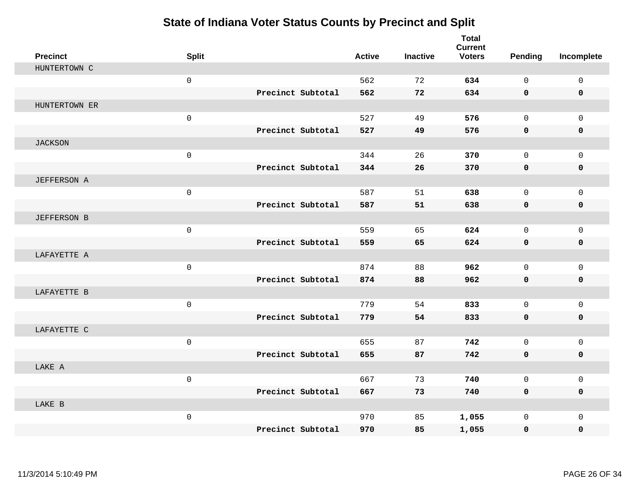| <b>Precinct</b>    | <b>Split</b>        |                   | <b>Active</b> | <b>Inactive</b> | <b>Total</b><br><b>Current</b><br><b>Voters</b> | <b>Pending</b> | Incomplete   |
|--------------------|---------------------|-------------------|---------------|-----------------|-------------------------------------------------|----------------|--------------|
| HUNTERTOWN C       |                     |                   |               |                 |                                                 |                |              |
|                    | $\mathsf{O}\xspace$ |                   | 562           | 72              | 634                                             | $\mathsf{O}$   | $\mathsf{O}$ |
|                    |                     | Precinct Subtotal | 562           | 72              | 634                                             | $\mathbf 0$    | $\mathbf 0$  |
| HUNTERTOWN ER      |                     |                   |               |                 |                                                 |                |              |
|                    | $\mathsf{O}\xspace$ |                   | 527           | 49              | 576                                             | $\mathbf{0}$   | $\mathbf 0$  |
|                    |                     | Precinct Subtotal | 527           | 49              | 576                                             | 0              | 0            |
| <b>JACKSON</b>     |                     |                   |               |                 |                                                 |                |              |
|                    | $\mathsf{O}\xspace$ |                   | 344           | 26              | 370                                             | $\Omega$       | $\mathsf{O}$ |
|                    |                     | Precinct Subtotal | 344           | 26              | 370                                             | $\mathbf 0$    | $\mathbf 0$  |
| <b>JEFFERSON A</b> |                     |                   |               |                 |                                                 |                |              |
|                    | $\mathsf{O}\xspace$ |                   | 587           | 51              | 638                                             | $\mathbf{0}$   | $\mathbf{0}$ |
|                    |                     | Precinct Subtotal | 587           | 51              | 638                                             | $\mathbf 0$    | 0            |
| <b>JEFFERSON B</b> |                     |                   |               |                 |                                                 |                |              |
|                    | $\mathbf 0$         |                   | 559           | 65              | 624                                             | $\mathbf{0}$   | $\mathbf 0$  |
|                    |                     | Precinct Subtotal | 559           | 65              | 624                                             | $\mathbf 0$    | 0            |
| LAFAYETTE A        |                     |                   |               |                 |                                                 |                |              |
|                    | $\mathbf 0$         |                   | 874           | 88              | 962                                             | $\Omega$       | $\mathbf{0}$ |
|                    |                     | Precinct Subtotal | 874           | 88              | 962                                             | $\mathbf 0$    | $\mathbf 0$  |
| LAFAYETTE B        |                     |                   |               |                 |                                                 |                |              |
|                    | $\mathbf 0$         |                   | 779           | 54              | 833                                             | 0              | $\mathsf{O}$ |
|                    |                     | Precinct Subtotal | 779           | 54              | 833                                             | 0              | 0            |
| LAFAYETTE C        |                     |                   |               |                 |                                                 |                |              |
|                    | $\mathsf{O}\xspace$ |                   | 655           | 87              | 742                                             | $\mathbf 0$    | $\mathbf{0}$ |
|                    |                     | Precinct Subtotal | 655           | 87              | 742                                             | $\mathbf 0$    | 0            |
| LAKE A             |                     |                   |               |                 |                                                 |                |              |
|                    | $\mathbf{0}$        |                   | 667           | 73              | 740                                             | $\mathbf 0$    | $\mathbf 0$  |
|                    |                     | Precinct Subtotal | 667           | 73              | 740                                             | $\mathbf 0$    | 0            |
| LAKE B             |                     |                   |               |                 |                                                 |                |              |
|                    | $\mathsf{O}\xspace$ |                   | 970           | 85              | 1,055                                           | 0              | $\mathbf 0$  |
|                    |                     | Precinct Subtotal | 970           | 85              | 1,055                                           | 0              | 0            |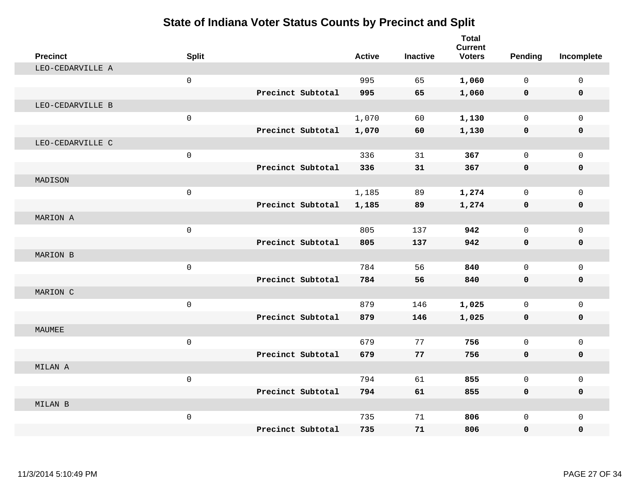| <b>Precinct</b>  | <b>Split</b>        |                   | <b>Active</b> | <b>Inactive</b> | <b>Total</b><br><b>Current</b><br><b>Voters</b> | <b>Pending</b> | Incomplete   |
|------------------|---------------------|-------------------|---------------|-----------------|-------------------------------------------------|----------------|--------------|
| LEO-CEDARVILLE A |                     |                   |               |                 |                                                 |                |              |
|                  | $\mathsf{O}\xspace$ |                   | 995           | 65              | 1,060                                           | $\mathsf{O}$   | $\mathsf 0$  |
|                  |                     | Precinct Subtotal | 995           | 65              | 1,060                                           | 0              | 0            |
| LEO-CEDARVILLE B |                     |                   |               |                 |                                                 |                |              |
|                  | $\mathsf{O}\xspace$ |                   | 1,070         | 60              | 1,130                                           | $\mathbf 0$    | $\mathbf{0}$ |
|                  |                     | Precinct Subtotal | 1,070         | 60              | 1,130                                           | $\mathbf 0$    | 0            |
| LEO-CEDARVILLE C |                     |                   |               |                 |                                                 |                |              |
|                  | $\mathsf{O}\xspace$ |                   | 336           | 31              | 367                                             | $\mathsf{O}$   | $\mathbf 0$  |
|                  |                     | Precinct Subtotal | 336           | 31              | 367                                             | $\mathbf 0$    | $\mathbf 0$  |
| MADISON          |                     |                   |               |                 |                                                 |                |              |
|                  | $\mathsf{O}\xspace$ |                   | 1,185         | 89              | 1,274                                           | $\mathbf 0$    | $\mathbf{0}$ |
|                  |                     | Precinct Subtotal | 1,185         | 89              | 1,274                                           | $\mathbf 0$    | 0            |
| MARION A         |                     |                   |               |                 |                                                 |                |              |
|                  | $\mathbf{0}$        |                   | 805           | 137             | 942                                             | $\Omega$       | $\Omega$     |
|                  |                     | Precinct Subtotal | 805           | 137             | 942                                             | $\mathbf 0$    | 0            |
| MARION B         |                     |                   |               |                 |                                                 |                |              |
|                  | $\mathsf{O}\xspace$ |                   | 784           | 56              | 840                                             | $\mathbf{0}$   | $\mathbf{0}$ |
|                  |                     | Precinct Subtotal | 784           | 56              | 840                                             | 0              | 0            |
| MARION C         |                     |                   |               |                 |                                                 |                |              |
|                  | $\mathbf 0$         |                   | 879           | 146             | 1,025                                           | $\mathbf 0$    | $\mathbf 0$  |
|                  |                     | Precinct Subtotal | 879           | 146             | 1,025                                           | $\mathbf 0$    | 0            |
| MAUMEE           |                     |                   |               |                 |                                                 |                |              |
|                  | $\mathsf{O}\xspace$ |                   | 679           | 77              | 756                                             | $\mathbf 0$    | $\mathbf{0}$ |
|                  |                     | Precinct Subtotal | 679           | 77              | 756                                             | 0              | 0            |
| MILAN A          |                     |                   |               |                 |                                                 |                |              |
|                  | $\mathsf{O}\xspace$ |                   | 794           | 61              | 855                                             | $\mathbf 0$    | $\mathbf{0}$ |
|                  |                     | Precinct Subtotal | 794           | 61              | 855                                             | $\mathbf 0$    | 0            |
| MILAN B          |                     |                   |               |                 |                                                 |                |              |
|                  | $\mathsf{O}\xspace$ |                   | 735           | 71              | 806                                             | $\mathbf 0$    | $\mathbf{0}$ |
|                  |                     | Precinct Subtotal | 735           | 71              | 806                                             | 0              | 0            |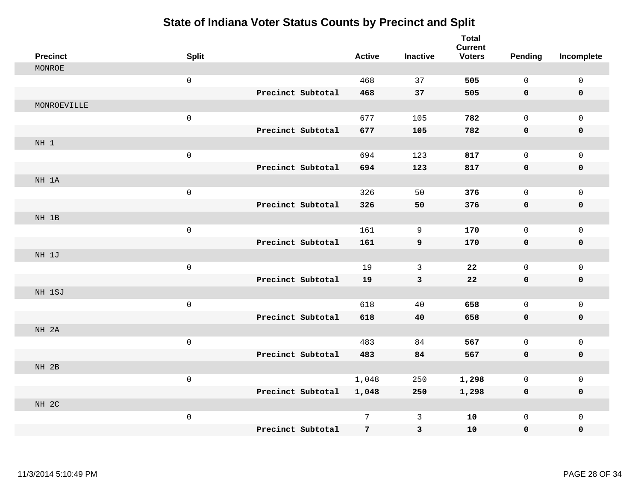| <b>Precinct</b> | <b>Split</b>        |                   | <b>Active</b> | <b>Inactive</b> | <b>Total</b><br><b>Current</b><br><b>Voters</b> | <b>Pending</b> | Incomplete          |
|-----------------|---------------------|-------------------|---------------|-----------------|-------------------------------------------------|----------------|---------------------|
| MONROE          |                     |                   |               |                 |                                                 |                |                     |
|                 | $\mathsf 0$         |                   | 468           | 37              | 505                                             | 0              | $\mathsf{O}\xspace$ |
|                 |                     | Precinct Subtotal | 468           | 37              | 505                                             | 0              | 0                   |
| MONROEVILLE     |                     |                   |               |                 |                                                 |                |                     |
|                 | $\mathsf{O}\xspace$ |                   | 677           | 105             | 782                                             | 0              | $\mathsf{O}$        |
|                 |                     | Precinct Subtotal | 677           | 105             | 782                                             | 0              | 0                   |
| NH 1            |                     |                   |               |                 |                                                 |                |                     |
|                 | $\mathsf{O}\xspace$ |                   | 694           | 123             | 817                                             | 0              | $\mathsf{O}$        |
|                 |                     | Precinct Subtotal | 694           | 123             | 817                                             | 0              | 0                   |
| NH 1A           |                     |                   |               |                 |                                                 |                |                     |
|                 | $\mathsf 0$         |                   | 326           | 50              | 376                                             | 0              | $\mathsf{O}$        |
|                 |                     | Precinct Subtotal | 326           | 50              | 376                                             | 0              | 0                   |
| NH 1B           |                     |                   |               |                 |                                                 |                |                     |
|                 | $\mathsf{O}$        |                   | 161           | 9               | 170                                             | 0              | $\mathsf{O}$        |
|                 |                     | Precinct Subtotal | 161           | 9               | 170                                             | 0              | 0                   |
| NH 1J           |                     |                   |               |                 |                                                 |                |                     |
|                 | $\mathsf{O}\xspace$ |                   | 19            | $\mathbf{3}$    | 22                                              | $\mathbf 0$    | $\mathsf{O}$        |
|                 |                     | Precinct Subtotal | 19            | $\mathbf{3}$    | ${\bf 22}$                                      | $\mathbf 0$    | 0                   |
| NH 1SJ          |                     |                   |               |                 |                                                 |                |                     |
|                 | $\mathsf{O}$        |                   | 618           | 40              | 658                                             | 0              | $\mathsf{O}\xspace$ |
|                 |                     | Precinct Subtotal | 618           | 40              | 658                                             | 0              | $\pmb{0}$           |
| NH 2A           |                     |                   |               |                 |                                                 |                |                     |
|                 | $\mathsf{O}\xspace$ |                   | 483           | 84              | 567                                             | 0              | $\mathsf{O}$        |
|                 |                     | Precinct Subtotal | 483           | 84              | 567                                             | 0              | 0                   |
| NH 2B           |                     |                   |               |                 |                                                 |                |                     |
|                 | $\mathsf{O}\xspace$ |                   | 1,048         | 250             | 1,298                                           | 0              | $\mathsf{O}\xspace$ |
|                 |                     | Precinct Subtotal | 1,048         | 250             | 1,298                                           | 0              | 0                   |
| NH 2C           |                     |                   |               |                 |                                                 |                |                     |
|                 | $\mathsf{O}\xspace$ |                   | 7             | $\mathbf{3}$    | 10                                              | 0              | $\mathsf{O}$        |
|                 |                     | Precinct Subtotal | 7             | 3               | 10                                              | 0              | 0                   |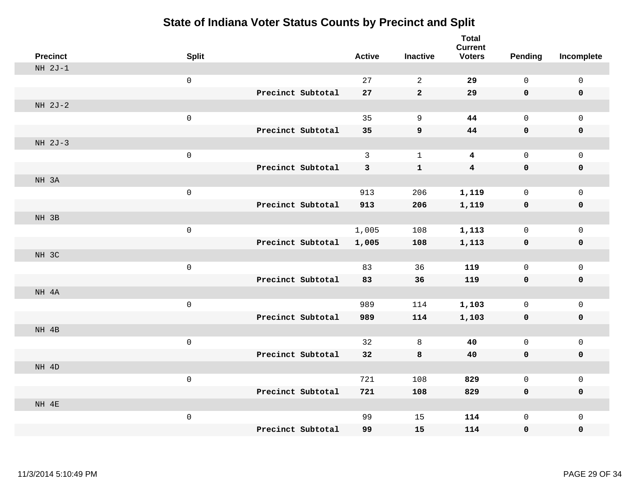| <b>Precinct</b> | <b>Split</b>        |                   | <b>Active</b> | <b>Inactive</b>  | <b>Total</b><br><b>Current</b><br><b>Voters</b> | <b>Pending</b> | Incomplete          |
|-----------------|---------------------|-------------------|---------------|------------------|-------------------------------------------------|----------------|---------------------|
| $NH 2J-1$       |                     |                   |               |                  |                                                 |                |                     |
|                 | $\mathsf 0$         |                   | 27            | $\overline{2}$   | 29                                              | $\mathsf{O}$   | $\mathsf 0$         |
|                 |                     | Precinct Subtotal | 27            | $\mathbf{2}$     | 29                                              | 0              | $\mathbf 0$         |
| NH 2J-2         |                     |                   |               |                  |                                                 |                |                     |
|                 | $\mathsf{O}\xspace$ |                   | 35            | $\mathsf 9$      | 44                                              | $\mathsf{O}$   | $\mathsf 0$         |
|                 |                     | Precinct Subtotal | 35            | $\boldsymbol{9}$ | 44                                              | $\mathbf 0$    | $\pmb{0}$           |
| NH 2J-3         |                     |                   |               |                  |                                                 |                |                     |
|                 | $\mathsf 0$         |                   | $\mathbf{3}$  | $\mathbf{1}$     | $\boldsymbol{4}$                                | $\mathsf{O}$   | $\mathsf 0$         |
|                 |                     | Precinct Subtotal | 3             | $\mathbf{1}$     | $\boldsymbol{4}$                                | $\mathbf 0$    | $\pmb{0}$           |
| NH 3A           |                     |                   |               |                  |                                                 |                |                     |
|                 | $\mathsf{O}\xspace$ |                   | 913           | 206              | 1,119                                           | $\mathsf{O}$   | $\mathsf 0$         |
|                 |                     | Precinct Subtotal | 913           | 206              | 1,119                                           | $\mathbf 0$    | $\pmb{0}$           |
| NH 3B           |                     |                   |               |                  |                                                 |                |                     |
|                 | $\mathsf 0$         |                   | 1,005         | 108              | 1,113                                           | $\mathsf{O}$   | $\mathsf 0$         |
|                 |                     | Precinct Subtotal | 1,005         | 108              | 1,113                                           | $\mathbf 0$    | $\mathbf 0$         |
| NH 3C           |                     |                   |               |                  |                                                 |                |                     |
|                 | $\mathsf 0$         |                   | 83            | 36               | 119                                             | $\mathsf{O}$   | $\mathsf 0$         |
|                 |                     | Precinct Subtotal | 83            | 36               | 119                                             | $\mathbf 0$    | $\mathbf 0$         |
| NH 4A           |                     |                   |               |                  |                                                 |                |                     |
|                 | $\mathsf 0$         |                   | 989           | 114              | 1,103                                           | $\mathbf 0$    | $\mathbf 0$         |
|                 |                     | Precinct Subtotal | 989           | 114              | 1,103                                           | $\mathbf 0$    | $\mathbf 0$         |
| NH 4B           |                     |                   |               |                  |                                                 |                |                     |
|                 | $\mathsf 0$         |                   | 32            | 8                | 40                                              | $\mathsf{O}$   | $\mathsf{O}\xspace$ |
|                 |                     | Precinct Subtotal | 32            | 8                | 40                                              | $\mathbf 0$    | $\mathbf 0$         |
| NH 4D           |                     |                   |               |                  |                                                 |                |                     |
|                 | $\mathsf{O}\xspace$ |                   | 721           | 108              | 829                                             | $\mathbf 0$    | $\mathsf{O}\xspace$ |
|                 |                     | Precinct Subtotal | 721           | 108              | 829                                             | $\mathbf 0$    | $\mathbf 0$         |
| NH 4E           |                     |                   |               |                  |                                                 |                |                     |
|                 | $\mathsf 0$         |                   | 99            | 15               | 114                                             | $\mathsf{O}$   | $\mathbf 0$         |
|                 |                     | Precinct Subtotal | 99            | 15               | 114                                             | 0              | 0                   |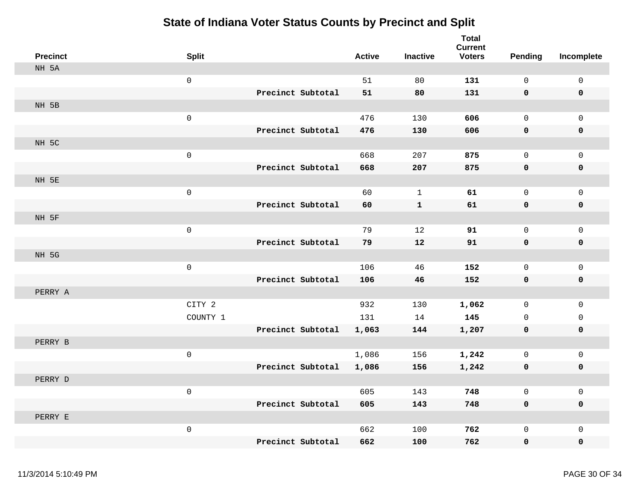| <b>Precinct</b> | <b>Split</b>        |                   | <b>Active</b> | <b>Inactive</b> | <b>Total</b><br><b>Current</b><br><b>Voters</b> | <b>Pending</b> | Incomplete          |
|-----------------|---------------------|-------------------|---------------|-----------------|-------------------------------------------------|----------------|---------------------|
| NH 5A           |                     |                   |               |                 |                                                 |                |                     |
|                 | $\mathsf{O}$        |                   | 51            | 80              | 131                                             | $\mathbf 0$    | 0                   |
|                 |                     | Precinct Subtotal | 51            | 80              | 131                                             | 0              | $\mathbf 0$         |
| NH 5B           |                     |                   |               |                 |                                                 |                |                     |
|                 | $\mathbf 0$         |                   | 476           | 130             | 606                                             | $\mathsf{O}$   | $\mathsf{O}$        |
|                 |                     | Precinct Subtotal | 476           | 130             | 606                                             | 0              | 0                   |
| NH 5C           |                     |                   |               |                 |                                                 |                |                     |
|                 | $\mathsf{O}\xspace$ |                   | 668           | 207             | 875                                             | $\mathbf 0$    | $\mathsf{O}$        |
|                 |                     | Precinct Subtotal | 668           | 207             | 875                                             | $\mathbf 0$    | 0                   |
| NH 5E           |                     |                   |               |                 |                                                 |                |                     |
|                 | $\mathbf 0$         |                   | 60            | $\mathbf 1$     | 61                                              | $\mathsf 0$    | $\mathsf{O}\xspace$ |
|                 |                     | Precinct Subtotal | 60            | $\mathbf{1}$    | 61                                              | 0              | $\pmb{0}$           |
| NH 5F           |                     |                   |               |                 |                                                 |                |                     |
|                 | $\mathsf 0$         |                   | 79            | 12              | 91                                              | $\mathbf 0$    | $\mathbf{0}$        |
|                 |                     | Precinct Subtotal | 79            | 12              | 91                                              | $\mathbf 0$    | 0                   |
| NH 5G           |                     |                   |               |                 |                                                 |                |                     |
|                 | $\mathsf 0$         |                   | 106           | 46              | 152                                             | $\mathbf 0$    | 0                   |
|                 |                     | Precinct Subtotal | 106           | 46              | 152                                             | 0              | 0                   |
| PERRY A         |                     |                   |               |                 |                                                 |                |                     |
|                 | CITY 2              |                   | 932           | 130             | 1,062                                           | $\mathbf 0$    | $\mathsf{O}\xspace$ |
|                 | COUNTY 1            |                   | 131           | 14              | 145                                             | $\mathbf 0$    | $\mathsf{O}$        |
|                 |                     | Precinct Subtotal | 1,063         | 144             | 1,207                                           | 0              | 0                   |
| PERRY B         |                     |                   |               |                 |                                                 |                |                     |
|                 | $\mathbf 0$         |                   | 1,086         | 156             | 1,242                                           | $\mathsf{O}$   | $\mathsf{O}$        |
|                 |                     | Precinct Subtotal | 1,086         | 156             | 1,242                                           | 0              | 0                   |
| PERRY D         |                     |                   |               |                 |                                                 |                |                     |
|                 | $\mathsf 0$         |                   | 605           | 143             | 748                                             | $\mathsf 0$    | 0                   |
|                 |                     | Precinct Subtotal | 605           | 143             | 748                                             | $\mathbf 0$    | 0                   |
| PERRY E         |                     |                   |               |                 |                                                 |                |                     |
|                 | $\mathsf 0$         |                   | 662           | 100             | 762                                             | $\mathbf 0$    | $\mathsf{O}\xspace$ |
|                 |                     | Precinct Subtotal | 662           | 100             | 762                                             | $\mathbf 0$    | 0                   |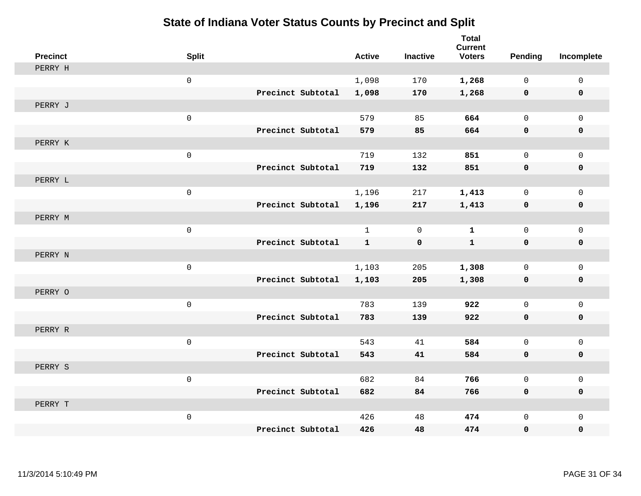| <b>Precinct</b> | <b>Split</b>        |                   |                   | <b>Active</b> | <b>Inactive</b> | <b>Total</b><br><b>Current</b><br><b>Voters</b> | <b>Pending</b> | Incomplete   |
|-----------------|---------------------|-------------------|-------------------|---------------|-----------------|-------------------------------------------------|----------------|--------------|
| PERRY H         |                     |                   |                   |               |                 |                                                 |                |              |
|                 | $\mathbf 0$         |                   |                   | 1,098         | 170             | 1,268                                           | 0              | $\mathbf 0$  |
|                 |                     |                   | Precinct Subtotal | 1,098         | 170             | 1,268                                           | $\mathbf 0$    | $\mathbf 0$  |
| PERRY J         |                     |                   |                   |               |                 |                                                 |                |              |
|                 | $\mathsf{O}\xspace$ |                   |                   | 579           | 85              | 664                                             | 0              | $\mathbf 0$  |
|                 |                     |                   | Precinct Subtotal | 579           | 85              | 664                                             | $\mathbf 0$    | $\mathbf 0$  |
| PERRY K         |                     |                   |                   |               |                 |                                                 |                |              |
|                 | $\mathsf{O}\xspace$ |                   |                   | 719           | 132             | 851                                             | 0              | $\mathbf{0}$ |
|                 |                     | Precinct Subtotal |                   | 719           | 132             | 851                                             | 0              | $\mathbf 0$  |
| PERRY L         |                     |                   |                   |               |                 |                                                 |                |              |
|                 | $\mathsf{O}\xspace$ |                   |                   | 1,196         | 217             | 1,413                                           | 0              | $\mathbf 0$  |
|                 |                     |                   | Precinct Subtotal | 1,196         | 217             | 1,413                                           | $\mathbf 0$    | $\mathbf 0$  |
| PERRY M         |                     |                   |                   |               |                 |                                                 |                |              |
|                 | $\mathbf 0$         |                   |                   | $\mathbf{1}$  | $\mathbf 0$     | $\mathbf{1}$                                    | 0              | $\mathbf 0$  |
|                 |                     | Precinct Subtotal |                   | $\mathbf{1}$  | $\mathbf 0$     | $\mathbf{1}$                                    | $\mathbf 0$    | $\mathbf 0$  |
| PERRY N         |                     |                   |                   |               |                 |                                                 |                |              |
|                 | $\mathsf{O}\xspace$ |                   |                   | 1,103         | 205             | 1,308                                           | 0              | $\mathsf{O}$ |
|                 |                     |                   | Precinct Subtotal | 1,103         | 205             | 1,308                                           | 0              | 0            |
| PERRY O         |                     |                   |                   |               |                 |                                                 |                |              |
|                 | $\mathsf{O}\xspace$ |                   |                   | 783           | 139             | 922                                             | 0              | $\mathsf{O}$ |
|                 |                     |                   | Precinct Subtotal | 783           | 139             | 922                                             | 0              | 0            |
| PERRY R         |                     |                   |                   |               |                 |                                                 |                |              |
|                 | $\mathsf{O}\xspace$ |                   |                   | 543           | 41              | 584                                             | 0              | $\mathbf 0$  |
|                 |                     |                   | Precinct Subtotal | 543           | 41              | 584                                             | $\mathbf 0$    | $\mathbf 0$  |
| PERRY S         |                     |                   |                   |               |                 |                                                 |                |              |
|                 | $\mathsf{O}\xspace$ |                   |                   | 682           | 84              | 766                                             | 0              | $\mathbf 0$  |
|                 |                     |                   | Precinct Subtotal | 682           | 84              | 766                                             | 0              | $\mathbf 0$  |
| PERRY T         |                     |                   |                   |               |                 |                                                 |                |              |
|                 | $\mathsf{O}\xspace$ |                   |                   | 426           | 48              | 474                                             | 0              | $\mathbf 0$  |
|                 |                     | Precinct Subtotal |                   | 426           | 48              | 474                                             | 0              | $\mathbf 0$  |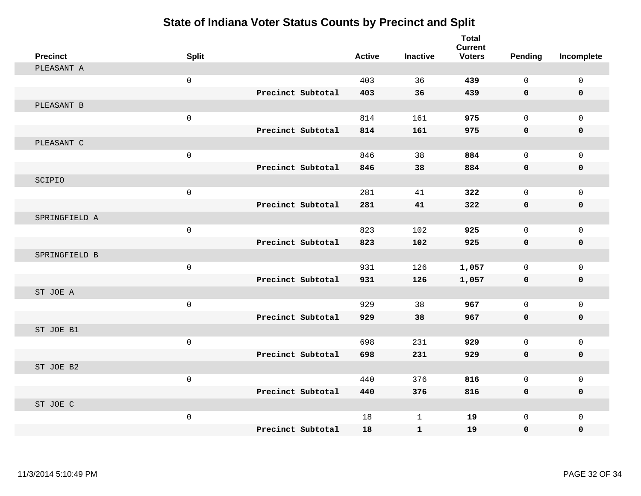| <b>Precinct</b> | <b>Split</b> |                   | <b>Active</b> | <b>Inactive</b> | <b>Total</b><br><b>Current</b><br><b>Voters</b> | <b>Pending</b> | Incomplete   |
|-----------------|--------------|-------------------|---------------|-----------------|-------------------------------------------------|----------------|--------------|
| PLEASANT A      |              |                   |               |                 |                                                 |                |              |
|                 | $\mathsf{O}$ |                   | 403           | 36              | 439                                             | $\mathsf{O}$   | $\mathsf 0$  |
|                 |              | Precinct Subtotal | 403           | 36              | 439                                             | 0              | $\mathbf 0$  |
| PLEASANT B      |              |                   |               |                 |                                                 |                |              |
|                 | $\mathsf{O}$ |                   | 814           | 161             | 975                                             | $\mathsf{O}$   | $\mathbf 0$  |
|                 |              | Precinct Subtotal | 814           | 161             | 975                                             | 0              | 0            |
| PLEASANT C      |              |                   |               |                 |                                                 |                |              |
|                 | $\mathsf{O}$ |                   | 846           | 38              | 884                                             | $\mathsf{O}$   | 0            |
|                 |              | Precinct Subtotal | 846           | 38              | 884                                             | 0              | 0            |
| SCIPIO          |              |                   |               |                 |                                                 |                |              |
|                 | $\mathsf{O}$ |                   | 281           | 41              | 322                                             | $\mathsf{O}$   | $\mathbf{0}$ |
|                 |              | Precinct Subtotal | 281           | 41              | 322                                             | 0              | 0            |
| SPRINGFIELD A   |              |                   |               |                 |                                                 |                |              |
|                 | $\mathsf{O}$ |                   | 823           | 102             | 925                                             | $\mathsf{O}$   | $\mathsf 0$  |
|                 |              | Precinct Subtotal | 823           | 102             | 925                                             | 0              | $\mathbf 0$  |
| SPRINGFIELD B   |              |                   |               |                 |                                                 |                |              |
|                 | $\mathsf{O}$ |                   | 931           | 126             | 1,057                                           | $\mathbf 0$    | $\mathbf{0}$ |
|                 |              | Precinct Subtotal | 931           | 126             | 1,057                                           | $\mathbf 0$    | 0            |
| ST JOE A        |              |                   |               |                 |                                                 |                |              |
|                 | $\mathsf{O}$ |                   | 929           | 38              | 967                                             | $\mathbf 0$    | $\mathbf{0}$ |
|                 |              | Precinct Subtotal | 929           | 38              | 967                                             | $\mathbf 0$    | $\mathbf 0$  |
| ST JOE B1       |              |                   |               |                 |                                                 |                |              |
|                 | $\mathsf{O}$ |                   | 698           | 231             | 929                                             | $\mathbf{0}$   | $\mathbf{0}$ |
|                 |              | Precinct Subtotal | 698           | 231             | 929                                             | 0              | $\mathbf 0$  |
| ST JOE B2       |              |                   |               |                 |                                                 |                |              |
|                 | $\mathsf{O}$ |                   | 440           | 376             | 816                                             | $\mathbf 0$    | $\mathbf 0$  |
|                 |              | Precinct Subtotal | 440           | 376             | 816                                             | 0              | 0            |
| ST JOE C        |              |                   |               |                 |                                                 |                |              |
|                 | $\mathsf{O}$ |                   | 18            | $\mathbf 1$     | 19                                              | $\mathbf 0$    | $\mathbf 0$  |
|                 |              | Precinct Subtotal | 18            | $\mathbf{1}$    | 19                                              | 0              | 0            |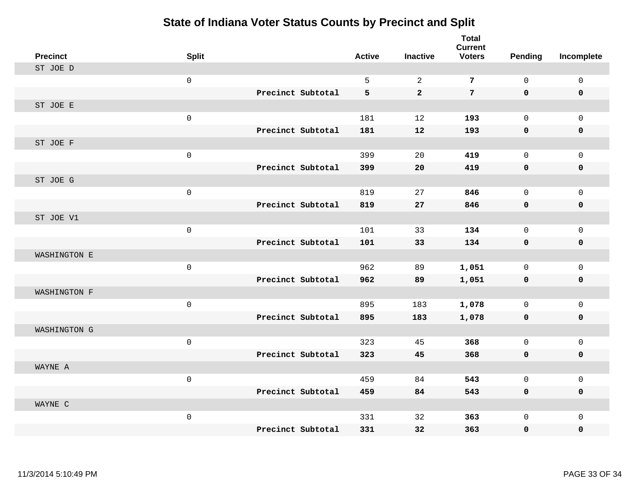| <b>Precinct</b> | <b>Split</b>        |                   | <b>Active</b> | <b>Inactive</b> | <b>Total</b><br><b>Current</b><br><b>Voters</b> | <b>Pending</b> | Incomplete   |
|-----------------|---------------------|-------------------|---------------|-----------------|-------------------------------------------------|----------------|--------------|
| ST JOE D        |                     |                   |               |                 |                                                 |                |              |
|                 | $\mathsf 0$         |                   | 5             | $\overline{2}$  | $\overline{7}$                                  | $\mathsf{O}$   | $\mathsf 0$  |
|                 |                     | Precinct Subtotal | 5             | $\overline{a}$  | $7\phantom{.}$                                  | $\mathbf 0$    | $\mathbf 0$  |
| ST JOE E        |                     |                   |               |                 |                                                 |                |              |
|                 | $\mathbf 0$         |                   | 181           | 12              | 193                                             | $\mathbf 0$    | $\mathbf{0}$ |
|                 |                     | Precinct Subtotal | 181           | 12              | 193                                             | $\mathbf 0$    | 0            |
| ST JOE F        |                     |                   |               |                 |                                                 |                |              |
|                 | $\mathsf 0$         |                   | 399           | 20              | 419                                             | $\mathbf 0$    | $\mathbf 0$  |
|                 |                     | Precinct Subtotal | 399           | 20              | 419                                             | $\mathbf 0$    | $\mathbf 0$  |
| ST JOE G        |                     |                   |               |                 |                                                 |                |              |
|                 | $\mathbf 0$         |                   | 819           | 27              | 846                                             | $\mathsf{O}$   | $\mathbf 0$  |
|                 |                     | Precinct Subtotal | 819           | 27              | 846                                             | $\mathbf 0$    | $\pmb{0}$    |
| ST JOE V1       |                     |                   |               |                 |                                                 |                |              |
|                 | $\mathsf 0$         |                   | 101           | 33              | 134                                             | $\mathbf 0$    | $\mathbf 0$  |
|                 |                     | Precinct Subtotal | 101           | 33              | 134                                             | $\mathbf 0$    | $\mathbf 0$  |
| WASHINGTON E    |                     |                   |               |                 |                                                 |                |              |
|                 | $\mathsf{O}\xspace$ |                   | 962           | 89              | 1,051                                           | 0              | $\mathbf 0$  |
|                 |                     | Precinct Subtotal | 962           | 89              | 1,051                                           | $\mathbf 0$    | $\mathbf 0$  |
| WASHINGTON F    |                     |                   |               |                 |                                                 |                |              |
|                 | $\mathsf{O}\xspace$ |                   | 895           | 183             | 1,078                                           | $\mathbf 0$    | $\mathbf 0$  |
|                 |                     | Precinct Subtotal | 895           | 183             | 1,078                                           | 0              | $\mathbf 0$  |
| WASHINGTON G    |                     |                   |               |                 |                                                 |                |              |
|                 | $\mathsf{O}\xspace$ |                   | 323           | 45              | 368                                             | $\mathsf{O}$   | $\mathbf 0$  |
|                 |                     | Precinct Subtotal | 323           | 45              | 368                                             | $\mathbf 0$    | 0            |
| WAYNE A         |                     |                   |               |                 |                                                 |                |              |
|                 | $\mathsf{O}\xspace$ |                   | 459           | 84              | 543                                             | $\mathbf 0$    | $\mathbf 0$  |
|                 |                     | Precinct Subtotal | 459           | 84              | 543                                             | 0              | 0            |
| WAYNE C         |                     |                   |               |                 |                                                 |                |              |
|                 | $\mathsf{O}\xspace$ |                   | 331           | 32              | 363                                             | $\mathsf{O}$   | $\mathbf 0$  |
|                 |                     | Precinct Subtotal | 331           | 32              | 363                                             | $\mathbf 0$    | 0            |